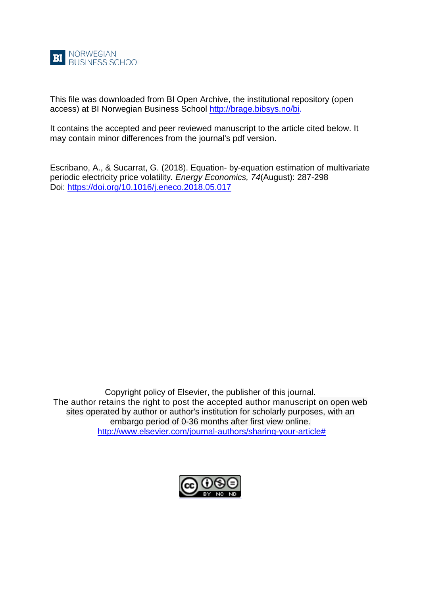

This file was downloaded from BI Open Archive, the institutional repository (open access) at BI Norwegian Business School [http://brage.bibsys.no/bi.](http://brage.bibsys.no/bi)

It contains the accepted and peer reviewed manuscript to the article cited below. It may contain minor differences from the journal's pdf version.

Escribano, A., & Sucarrat, G. (2018). Equation- by-equation estimation of multivariate periodic electricity price volatility*. Energy Economics, 74*(August): 287-298 Doi:<https://doi.org/10.1016/j.eneco.2018.05.017>

Copyright policy of Elsevier, the publisher of this journal. The author retains the right to post the accepted author manuscript on open web sites operated by author or author's institution for scholarly purposes, with an embargo period of 0-36 months after first view online. [http://www.elsevier.com/journal-authors/sharing-your-article#](http://www.elsevier.com/journal-authors/sharing-your-article)

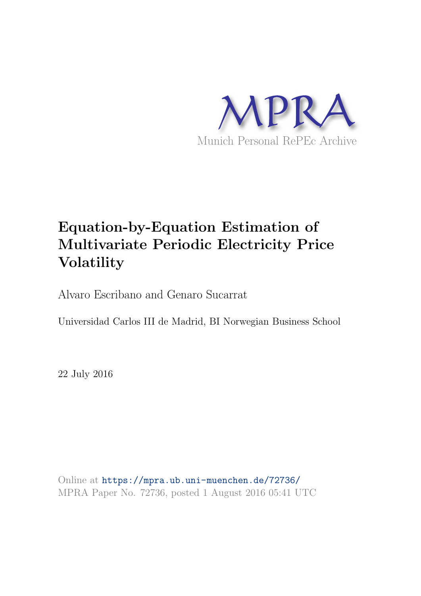

# Equation-by-Equation Estimation of Multivariate Periodic Electricity Price Volatility

Alvaro Escribano and Genaro Sucarrat

Universidad Carlos III de Madrid, BI Norwegian Business School

22 July 2016

Online at <https://mpra.ub.uni-muenchen.de/72736/> MPRA Paper No. 72736, posted 1 August 2016 05:41 UTC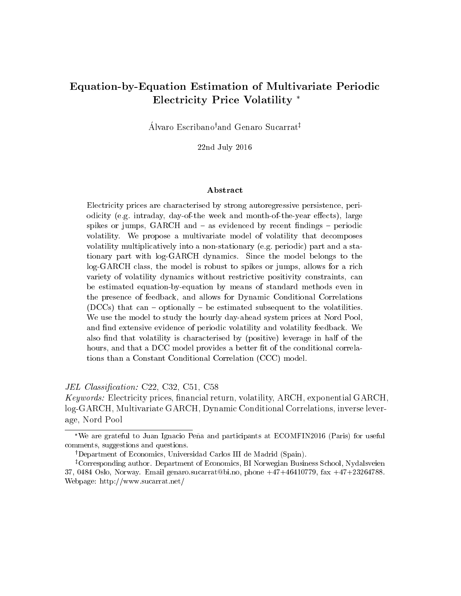### Equation-by-Equation Estimation of Multivariate Periodic Electricity Price Volatility

Alvaro Escribano<sup>†</sup>and Genaro Sucarrat<sup>‡</sup>

22nd July 2016

#### Abstract

Electricity prices are characterised by strong autoregressive persistence, periodicity (e.g. intraday, day-of-the week and month-of-the-year effects), large spikes or jumps,  $GARCH$  and  $-$  as evidenced by recent findings  $-$  periodic volatility. We propose a multivariate model of volatility that decomposes volatility multiplicatively into a non-stationary (e.g. periodic) part and a stationary part with log-GARCH dynamics. Since the model belongs to the log-GARCH class, the model is robust to spikes or jumps, allows for a rich variety of volatility dynamics without restrictive positivity constraints, can be estimated equation-by-equation by means of standard methods even in the presence of feedback, and allows for Dynamic Conditional Correlations (DCCs) that can  ${\rm -}$  optionally  ${\rm -}$  be estimated subsequent to the volatilities. We use the model to study the hourly day-ahead system prices at Nord Pool, and find extensive evidence of periodic volatility and volatility feedback. We also find that volatility is characterised by (positive) leverage in half of the hours, and that a DCC model provides a better fit of the conditional correlations than a Constant Conditional Correlation (CCC) model.

JEL Classification: C22, C32, C51, C58

Keywords: Electricity prices, nancial return, volatility, ARCH, exponential GARCH, log-GARCH, Multivariate GARCH, Dynamic Conditional Correlations, inverse leverage, Nord Pool

We are grateful to Juan Ignacio Peña and participants at  $ECOMFIN2016$  (Paris) for useful comments, suggestions and questions.

<sup>&</sup>lt;sup>†</sup>Department of Economics, Universidad Carlos III de Madrid (Spain).

<sup>&</sup>lt;sup>‡</sup>Corresponding author. Department of Economics, BI Norwegian Business School, Nydalsveien 37, 0484 Oslo, Norway. Email genaro.sucarrat@bi.no, phone +47+46410779, fax +47+23264788. Webpage: http://www.sucarrat.net/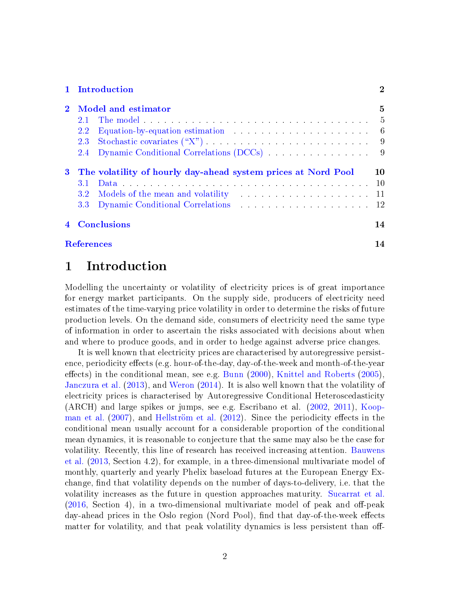#### [1 Introduction](#page-3-0) 2

|     | 2 Model and estimator                                           | 5  |
|-----|-----------------------------------------------------------------|----|
|     |                                                                 |    |
| 2.2 |                                                                 |    |
|     |                                                                 |    |
|     | 2.4 Dynamic Conditional Correlations (DCCs) 9                   |    |
|     | 3 The volatility of hourly day-ahead system prices at Nord Pool | 10 |
|     |                                                                 |    |
|     |                                                                 |    |
|     |                                                                 |    |
|     | 4 Conclusions                                                   | 14 |
|     | <b>References</b>                                               | 14 |

### <span id="page-3-0"></span>1 Introduction

Modelling the uncertainty or volatility of electricity prices is of great importance for energy market participants. On the supply side, producers of electricity need estimates of the time-varying price volatility in order to determine the risks of future production levels. On the demand side, consumers of electricity need the same type of information in order to ascertain the risks associated with decisions about when and where to produce goods, and in order to hedge against adverse price changes.

It is well known that electricity prices are characterised by autoregressive persistence, periodicity effects (e.g. hour-of-the-day, day-of-the-week and month-of-the-year effects) in the conditional mean, see e.g. [Bunn](#page-15-1)  $(2000)$ , [Knittel and Roberts](#page-17-0)  $(2005)$ , [Janczura et al.](#page-16-0) [\(2013\)](#page-16-0), and [Weron](#page-17-1) [\(2014\)](#page-17-1). It is also well known that the volatility of electricity prices is characterised by Autoregressive Conditional Heteroscedasticity (ARCH) and large spikes or jumps, see e.g. Escribano et al. [\(2002,](#page-16-1) [2011\)](#page-16-2), [Koop](#page-17-2)[man et al.](#page-17-2)  $(2007)$ , and Hellström et al.  $(2012)$ . Since the periodicity effects in the conditional mean usually account for a considerable proportion of the conditional mean dynamics, it is reasonable to conjecture that the same may also be the case for volatility. Recently, this line of research has received increasing attention. [Bauwens](#page-15-2) [et al.](#page-15-2) [\(2013,](#page-15-2) Section 4.2), for example, in a three-dimensional multivariate model of monthly, quarterly and yearly Phelix baseload futures at the European Energy Exchange, find that volatility depends on the number of days-to-delivery, i.e. that the volatility increases as the future in question approaches maturity. [Sucarrat et al.](#page-17-3)  $(2016, Section 4)$  $(2016, Section 4)$ , in a two-dimensional multivariate model of peak and off-peak day-ahead prices in the Oslo region (Nord Pool), find that day-of-the-week effects matter for volatility, and that peak volatility dynamics is less persistent than off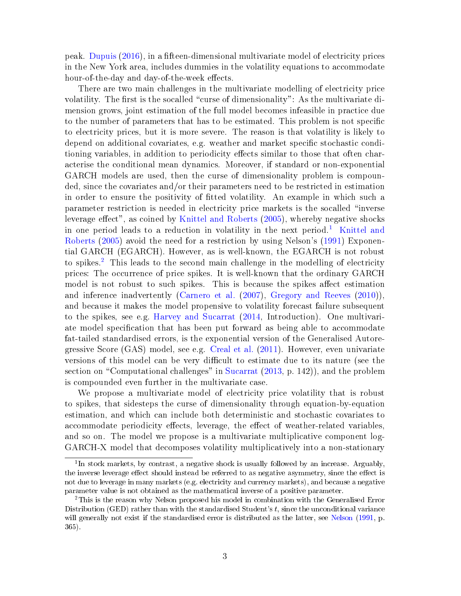peak. [Dupuis](#page-16-4) [\(2016\)](#page-16-4), in a fteen-dimensional multivariate model of electricity prices in the New York area, includes dummies in the volatility equations to accommodate hour-of-the-day and day-of-the-week effects.

There are two main challenges in the multivariate modelling of electricity price volatility. The first is the socalled "curse of dimensionality": As the multivariate dimension grows, joint estimation of the full model becomes infeasible in practice due to the number of parameters that has to be estimated. This problem is not specific to electricity prices, but it is more severe. The reason is that volatility is likely to depend on additional covariates, e.g. weather and market specific stochastic conditioning variables, in addition to periodicity effects similar to those that often characterise the conditional mean dynamics. Moreover, if standard or non-exponential GARCH models are used, then the curse of dimensionality problem is compounded, since the covariates and/or their parameters need to be restricted in estimation in order to ensure the positivity of fitted volatility. An example in which such a parameter restriction is needed in electricity price markets is the socalled \inverse leverage effect", as coined by [Knittel and Roberts](#page-17-0)  $(2005)$ , whereby negative shocks in one period leads to a reduction in volatility in the next period.<sup>[1](#page-4-0)</sup> [Knittel and](#page-17-0) [Roberts](#page-17-0) [\(2005\)](#page-17-0) avoid the need for a restriction by using Nelson's [\(1991\)](#page-17-4) Exponential GARCH (EGARCH). However, as is well-known, the EGARCH is not robust to spikes.[2](#page-4-1) This leads to the second main challenge in the modelling of electricity prices: The occurrence of price spikes. It is well-known that the ordinary GARCH model is not robust to such spikes. This is because the spikes affect estimation and inference inadvertently [\(Carnero et al.](#page-15-3) [\(2007\)](#page-15-3), [Gregory and Reeves](#page-16-5) [\(2010\)](#page-16-5)), and because it makes the model propensive to volatility forecast failure subsequent to the spikes, see e.g. [Harvey and Sucarrat](#page-16-6) [\(2014,](#page-16-6) Introduction). One multivariate model specication that has been put forward as being able to accommodate fat-tailed standardised errors, is the exponential version of the Generalised Autoregressive Score (GAS) model, see e.g. [Creal et al.](#page-16-7) [\(2011\)](#page-16-7). However, even univariate versions of this model can be very difficult to estimate due to its nature (see the section on "Computational challenges" in [Sucarrat](#page-17-5)  $(2013, p. 142)$  $(2013, p. 142)$ ), and the problem is compounded even further in the multivariate case.

We propose a multivariate model of electricity price volatility that is robust to spikes, that sidesteps the curse of dimensionality through equation-by-equation estimation, and which can include both deterministic and stochastic covariates to accommodate periodicity effects, leverage, the effect of weather-related variables. and so on. The model we propose is a multivariate multiplicative component log-GARCH-X model that decomposes volatility multiplicatively into a non-stationary

<span id="page-4-0"></span><sup>&</sup>lt;sup>1</sup>In stock markets, by contrast, a negative shock is usually followed by an increase. Arguably, the inverse leverage effect should instead be referred to as negative asymmetry, since the effect is not due to leverage in many markets (e.g. electricity and currency markets), and because a negative parameter value is not obtained as the mathematical inverse of a positive parameter.

<span id="page-4-1"></span><sup>2</sup>This is the reason why Nelson proposed his model in combination with the Generalised Error Distribution (GED) rather than with the standardised Student's  $t$ , since the unconditional variance will generally not exist if the standardised error is distributed as the latter, see [Nelson](#page-17-4) [\(1991,](#page-17-4) p. 365).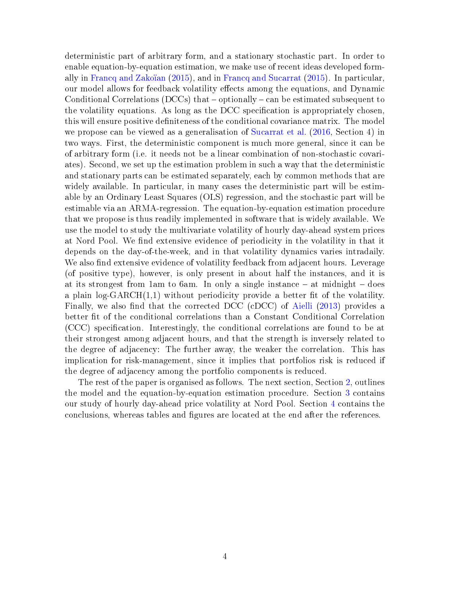deterministic part of arbitrary form, and a stationary stochastic part. In order to enable equation-by-equation estimation, we make use of recent ideas developed formally in Francq and Zakoïan  $(2015)$ , and in [Francq and Sucarrat](#page-16-9)  $(2015)$ . In particular, our model allows for feedback volatility effects among the equations, and Dynamic Conditional Correlations (DCCs) that  ${\sim}$  optionally  ${\sim}$  can be estimated subsequent to the volatility equations. As long as the DCC specication is appropriately chosen, this will ensure positive definiteness of the conditional covariance matrix. The model we propose can be viewed as a generalisation of [Sucarrat et al.](#page-17-3) [\(2016,](#page-17-3) Section 4) in two ways. First, the deterministic component is much more general, since it can be of arbitrary form (i.e. it needs not be a linear combination of non-stochastic covariates). Second, we set up the estimation problem in such a way that the deterministic and stationary parts can be estimated separately, each by common methods that are widely available. In particular, in many cases the deterministic part will be estimable by an Ordinary Least Squares (OLS) regression, and the stochastic part will be estimable via an ARMA-regression. The equation-by-equation estimation procedure that we propose is thus readily implemented in software that is widely available. We use the model to study the multivariate volatility of hourly day-ahead system prices at Nord Pool. We find extensive evidence of periodicity in the volatility in that it depends on the day-of-the-week, and in that volatility dynamics varies intradaily. We also find extensive evidence of volatility feedback from adjacent hours. Leverage (of positive type), however, is only present in about half the instances, and it is at its strongest from 1am to 6am. In only a single instance  $-$  at midnight  $-$  does a plain  $log-GARCH(1,1)$  without periodicity provide a better fit of the volatility. Finally, we also find that the corrected DCC (cDCC) of [Aielli](#page-15-4)  $(2013)$  provides a better fit of the conditional correlations than a Constant Conditional Correlation (CCC) specication. Interestingly, the conditional correlations are found to be at their strongest among adjacent hours, and that the strength is inversely related to the degree of adjacency: The further away, the weaker the correlation. This has implication for risk-management, since it implies that portfolios risk is reduced if the degree of adjacency among the portfolio components is reduced.

The rest of the paper is organised as follows. The next section, Section [2,](#page-6-0) outlines the model and the equation-by-equation estimation procedure. Section [3](#page-11-0) contains our study of hourly day-ahead price volatility at Nord Pool. Section [4](#page-15-0) contains the conclusions, whereas tables and gures are located at the end after the references.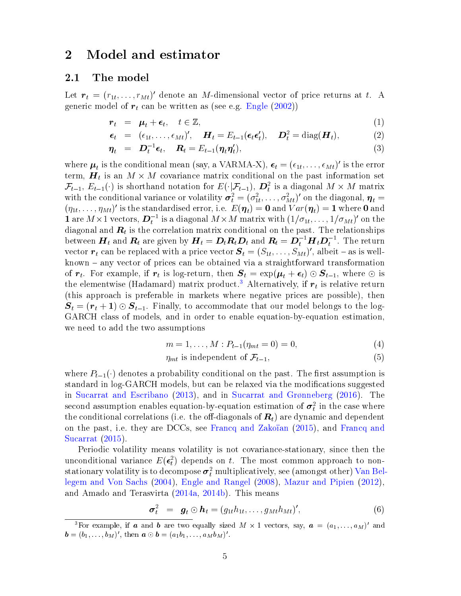### <span id="page-6-0"></span>2 Model and estimator

#### <span id="page-6-1"></span>2.1 The model

Let  $\boldsymbol{r}_t = (r_{1t}, \ldots, r_{Mt})'$  denote an M-dimensional vector of price returns at t. A generic model of  $r_t$  can be written as (see e.g. [Engle](#page-16-10)  $(2002)$ )

<span id="page-6-3"></span>
$$
\boldsymbol{r}_t = \boldsymbol{\mu}_t + \boldsymbol{\epsilon}_t, \quad t \in \mathbb{Z}, \tag{1}
$$

$$
\boldsymbol{\epsilon}_t = (\epsilon_{1t}, \dots, \epsilon_{Mt})', \quad \boldsymbol{H}_t = E_{t-1}(\boldsymbol{\epsilon}_t \boldsymbol{\epsilon}'_t), \quad \boldsymbol{D}_t^2 = \text{diag}(\boldsymbol{H}_t), \tag{2}
$$

$$
\boldsymbol{\eta}_t = \boldsymbol{D}_t^{-1} \boldsymbol{\epsilon}_t, \quad \boldsymbol{R}_t = E_{t-1}(\boldsymbol{\eta}_t \boldsymbol{\eta}_t'), \tag{3}
$$

where  $\mu_t$  is the conditional mean (say, a VARMA-X),  $\epsilon_t = (\epsilon_{1t}, \ldots, \epsilon_{Mt})'$  is the error term,  $\boldsymbol{H}_t$  is an  $M \times M$  covariance matrix conditional on the past information set  $\mathcal{F}_{t-1}, E_{t-1}(\cdot)$  is shorthand notation for  $E(\cdot|\mathcal{F}_{t-1}), D_t^2$  is a diagonal  $M \times M$  matrix with the conditional variance or volatility  $\bm{\sigma}_t^2 = (\sigma_{1t}^2, \ldots, \sigma_{Mt}^2)'$  on the diagonal,  $\bm{\eta}_t =$  $(\eta_{1t},\ldots,\eta_{Mt})'$  is the standardised error, i.e.  $E(\boldsymbol{\eta}_t)=\mathbf{0}$  and  $Var(\boldsymbol{\eta}_t)=\mathbf{1}$  where  $\mathbf{0}$  and **1** are  $M \times 1$  vectors,  $\mathbf{D}_t^{-1}$  is a diagonal  $M \times M$  matrix with  $(1/\sigma_{1t}, \ldots, 1/\sigma_{Mt})'$  on the diagonal and  $\boldsymbol{R}_{t}$  is the correlation matrix conditional on the past. The relationships between  $\bm{H}_t$  and  $\bm{R}_t$  are given by  $\bm{H}_t=\bm{D}_t\bm{R}_t\bm{D}_t$  and  $\bm{R}_t=\bm{D}_t^{-1}\bm{H}_t\bm{D}_t^{-1}.$  The return vector  $\boldsymbol{r}_t$  can be replaced with a price vector  $\boldsymbol{S}_t = (S_{1t}, \ldots, S_{Mt})'$ , albeit – as is well $known$  – any vector of prices can be obtained via a straightforward transformation of  $r_t$ . For example, if  $r_t$  is log-return, then  $S_t = \exp(\mu_t + \epsilon_t) \odot S_{t-1}$ , where  $\odot$  is the elementwise (Hadamard) matrix product.<sup>[3](#page-6-2)</sup> Alternatively, if  $\boldsymbol{r}_t$  is relative return (this approach is preferable in markets where negative prices are possible), then  $S_t = (r_t + 1) \odot S_{t-1}$ . Finally, to accommodate that our model belongs to the log-GARCH class of models, and in order to enable equation-by-equation estimation, we need to add the two assumptions

<span id="page-6-4"></span>
$$
m = 1, \dots, M : P_{t-1}(\eta_{mt} = 0) = 0,
$$
\n(4)

$$
\eta_{mt} \text{ is independent of } \mathcal{F}_{t-1},\tag{5}
$$

where  $P_{t-1}(\cdot)$  denotes a probability conditional on the past. The first assumption is standard in log-GARCH models, but can be relaxed via the modifications suggested in [Sucarrat and Escribano](#page-17-6)  $(2013)$ , and in Sucarrat and Grønneberg  $(2016)$ . The  $\rm{second\ assumption\ enables\ equation\ by\-equation\ estimation\ of\ } \boldsymbol{\sigma}^2_t$  in the case where the conditional correlations (i.e. the off-diagonals of  $R_t$ ) are dynamic and dependent on the past, i.e. they are DCCs, see Francq and Zakoïan [\(2015\)](#page-16-8), and [Francq and](#page-16-9) [Sucarrat](#page-16-9) [\(2015\)](#page-16-9).

Periodic volatility means volatility is not covariance-stationary, since then the unconditional variance  $E(\epsilon_t^2)$  depends on t. The most common approach to nonstationary volatility is to decompose  $\boldsymbol{\sigma}^2_t$  multiplicatively, see (amongst other) [Van Bel](#page-17-8)[legem and Von Sachs](#page-17-8) [\(2004\)](#page-17-8), [Engle and Rangel](#page-16-11) [\(2008\)](#page-16-11), [Mazur and Pipien](#page-17-9) [\(2012\)](#page-17-9), and Amado and Terasvirta [\(2014a,](#page-15-5) [2014b\)](#page-15-6). This means

$$
\boldsymbol{\sigma}_t^2 = \boldsymbol{g}_t \odot \boldsymbol{h}_t = (g_{1t}h_{1t}, \dots, g_{Mt}h_{Mt})', \qquad (6)
$$

<span id="page-6-2"></span><sup>&</sup>lt;sup>3</sup>For example, if **a** and **b** are two equally sized  $M \times 1$  vectors, say,  $a = (a_1, \ldots, a_M)'$  and  $\mathbf{b} = (b_1, \ldots, b_M)'$ , then  $\mathbf{a} \odot \mathbf{b} = (a_1b_1, \ldots, a_Mb_M)'$ .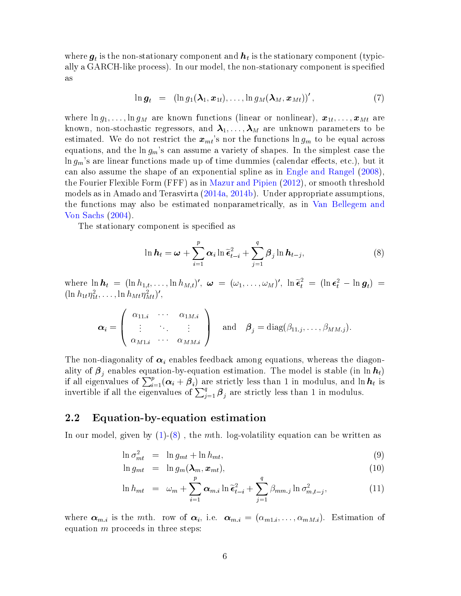where  $\boldsymbol{g}_t$  is the non-stationary component and  $\boldsymbol{h}_t$  is the stationary component (typically a GARCH-like process). In our model, the non-stationary component is specied as

$$
\ln \boldsymbol{g}_t = (\ln g_1(\boldsymbol{\lambda}_1, \boldsymbol{x}_{1t}), \ldots, \ln g_M(\boldsymbol{\lambda}_M, \boldsymbol{x}_{Mt}))', \qquad (7)
$$

where  $\ln g_1, \ldots, \ln g_M$  are known functions (linear or nonlinear),  $\bm{x}_{1t}, \ldots, \bm{x}_{Mt}$  are known, non-stochastic regressors, and  $\lambda_1, \ldots, \lambda_M$  are unknown parameters to be estimated. We do not restrict the  $x_{mt}$ 's nor the functions  $\ln g_m$  to be equal across equations, and the  $\ln g_m$ 's can assume a variety of shapes. In the simplest case the  $\ln g_m$ 's are linear functions made up of time dummies (calendar effects, etc.), but it can also assume the shape of an exponential spline as in [Engle and Rangel](#page-16-11) [\(2008\)](#page-16-11), the Fourier Flexible Form (FFF) as in [Mazur and Pipien](#page-17-9) [\(2012\)](#page-17-9), or smooth threshold models as in Amado and Terasvirta [\(2014a,](#page-15-5) [2014b\)](#page-15-6). Under appropriate assumptions, the functions may also be estimated nonparametrically, as in [Van Bellegem and](#page-17-8) [Von Sachs](#page-17-8) [\(2004\)](#page-17-8).

The stationary component is specified as

<span id="page-7-1"></span>
$$
\ln \boldsymbol{h}_t = \boldsymbol{\omega} + \sum_{i=1}^p \boldsymbol{\alpha}_i \ln \widetilde{\boldsymbol{\epsilon}}_{t-i}^2 + \sum_{j=1}^q \boldsymbol{\beta}_j \ln \boldsymbol{h}_{t-j},
$$
\n(8)

where  $\ln \mathbf{h}_t = (\ln h_{1,t}, \dots, \ln h_{M,t})'$ ,  $\boldsymbol{\omega} = (\omega_1, \dots, \omega_M)'$ ,  $\ln \tilde{\boldsymbol{\epsilon}}_t^2 = (\ln \boldsymbol{\epsilon}_t^2 - \ln \boldsymbol{g}_t) =$ <br>  $(\ln h, n^2 - \ln h_{M,t})'$  $(\ln h_{1t} \eta_{1t}^2, \ldots, \ln h_{Mt} \eta_{Mt}^2)'$ ,

$$
\boldsymbol{\alpha}_i = \left(\begin{array}{ccc} \alpha_{11,i} & \cdots & \alpha_{1M,i} \\ \vdots & \ddots & \vdots \\ \alpha_{M1.i} & \cdots & \alpha_{MM.i} \end{array}\right) \quad \text{and} \quad \boldsymbol{\beta}_j = \text{diag}(\beta_{11,j}, \ldots, \beta_{MM,j}).
$$

The non-diagonality of  $\alpha_i$  enables feedback among equations, whereas the diagonality of  $\boldsymbol{\beta}_j$  enables equation-by-equation estimation. The model is stable (in  $\ln \boldsymbol{h}_t$ ) if all eigenvalues of  $\sum_{i=1}^{p} (\alpha_i + \beta_i)$  are strictly less than 1 in modulus, and ln  $h_t$  is invertible if all the eigenvalues of  $\sum_{j=1}^{q} \beta_j$  are strictly less than 1 in modulus.

#### <span id="page-7-0"></span>2.2 Equation-by-equation estimation

In our model, given by  $(1)-(8)$  $(1)-(8)$  $(1)-(8)$ , the mth. log-volatility equation can be written as

<span id="page-7-2"></span>
$$
\ln \sigma_{mt}^2 = \ln g_{mt} + \ln h_{mt}, \tag{9}
$$

$$
\ln g_{mt} = \ln g_m(\lambda_m, x_{mt}), \qquad (10)
$$

$$
\ln h_{mt} = \omega_m + \sum_{i=1}^p \alpha_{m,i} \ln \tilde{\epsilon}_{t-i}^2 + \sum_{j=1}^q \beta_{mm,j} \ln \sigma_{m,t-j}^2, \qquad (11)
$$

where  $\alpha_{m,i}$  is the mth. row of  $\alpha_i$ , i.e.  $\alpha_{m,i} = (\alpha_{m1,i}, \ldots, \alpha_{mM,i})$ . Estimation of equation  $m$  proceeds in three steps: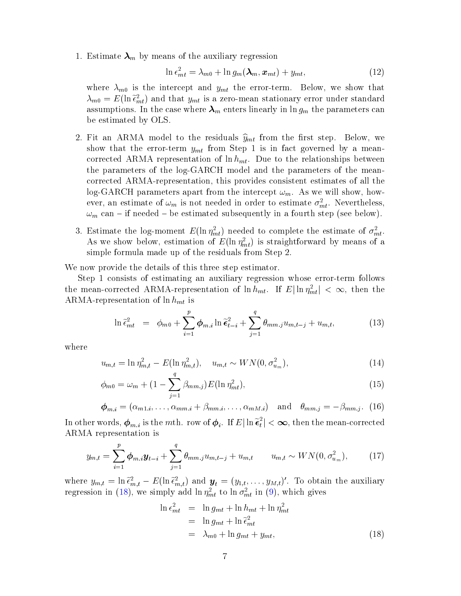1. Estimate  $\lambda_m$  by means of the auxiliary regression

$$
\ln \epsilon_{mt}^2 = \lambda_{m0} + \ln g_m(\lambda_m, x_{mt}) + y_{mt}, \qquad (12)
$$

where  $\lambda_{m0}$  is the intercept and  $y_{mt}$  the error-term. Below, we show that  $\lambda_{m0} = E(\ln \tilde{\epsilon}_{mt}^2)$  and that  $y_{mt}$  is a zero-mean stationary error under standard<br>assumptions. In the case where  $\lambda$  enters linearly in lag, the parameters can assumptions. In the case where  $\lambda_m$  enters linearly in ln  $g_m$  the parameters can be estimated by OLS.

- 2. Fit an ARMA model to the residuals  $\hat{y}_{mt}$  from the first step. Below, we show that the error-term  $y_{mt}$  from Step 1 is in fact governed by a meancorrected ARMA representation of  $\ln h_{mt}$ . Due to the relationships between the parameters of the log-GARCH model and the parameters of the meancorrected ARMA-representation, this provides consistent estimates of all the log-GARCH parameters apart from the intercept  $\omega_m$ . As we will show, however, an estimate of  $\omega_m$  is not needed in order to estimate  $\sigma_{mt}^2$ . Nevertheless,  $\omega_m$  can – if needed – be estimated subsequently in a fourth step (see below).
- 3. Estimate the log-moment  $E(\ln \eta_{mt}^2)$  needed to complete the estimate of  $\sigma_{mt}^2$ . As we show below, estimation of  $E(\ln \eta_{mt}^2)$  is straightforward by means of a simple formula made up of the residuals from Step 2.

We now provide the details of this three step estimator.

Step 1 consists of estimating an auxiliary regression whose error-term follows the mean-corrected ARMA-representation of  $\ln h_{mt}$ . If  $E|\ln \eta_{mt}^2| < \infty$ , then the ARMA-representation of  $\ln h_{mt}$  is

$$
\ln \tilde{\epsilon}_{mt}^2 = \phi_{m0} + \sum_{i=1}^p \phi_{m,i} \ln \tilde{\epsilon}_{t-i}^2 + \sum_{j=1}^q \theta_{mm,j} u_{m,t-j} + u_{m,t}, \tag{13}
$$

where

<span id="page-8-2"></span>
$$
u_{m,t} = \ln \eta_{m,t}^2 - E(\ln \eta_{m,t}^2), \quad u_{m,t} \sim WN(0, \sigma_{u_m}^2), \tag{14}
$$

$$
\phi_{m0} = \omega_m + (1 - \sum_{j=1}^{r} \beta_{mm,j}) E(\ln \eta_{mt}^2), \qquad (15)
$$

<span id="page-8-1"></span>
$$
\boldsymbol{\phi}_{m.i} = (\alpha_{m1.i}, \dots, \alpha_{mm.i} + \beta_{mm.i}, \dots, \alpha_{mM.i}) \text{ and } \theta_{mm.j} = -\beta_{mm.j}.
$$
 (16)

In other words,  $\phi_{m,i}$  is the *mth.* row of  $\phi_i$ . If  $E|\ln \tilde{\epsilon}_t^2$ <br>ARMA concentration is  $\left| \frac{2}{t} \right| < \infty, \text{ then the mean-corrected}$ ARMA representation is

$$
y_{m,t} = \sum_{i=1}^{p} \boldsymbol{\phi}_{m,i} \boldsymbol{y}_{t-i} + \sum_{j=1}^{q} \theta_{mm,j} u_{m,t-j} + u_{m,t} \qquad u_{m,t} \sim \text{WN}(0, \sigma_{u_m}^2), \tag{17}
$$

where  $y_{m,t} = \ln \tilde{\epsilon}_{m,t}^2 - E(\ln \tilde{\epsilon}_{m,t}^2)$  and  $\mathbf{y}_t = (y_{1,t}, \dots, y_{M,t})'$ . To obtain the auxiliary<br>regression in (18), we simply add  $\ln n^2$  to  $\ln \sigma^2$  in (9), which gives regression in [\(18\)](#page-8-0), we simply add  $\ln \eta_{mt}^2$  to  $\ln \sigma_{mt}^2$  in [\(9\)](#page-7-2), which gives

<span id="page-8-0"></span>
$$
\ln \epsilon_{mt}^2 = \ln g_{mt} + \ln h_{mt} + \ln \eta_{mt}^2
$$
  
= 
$$
\ln g_{mt} + \ln \tilde{\epsilon}_{mt}^2
$$
  
= 
$$
\lambda_{m0} + \ln g_{mt} + y_{mt},
$$
 (18)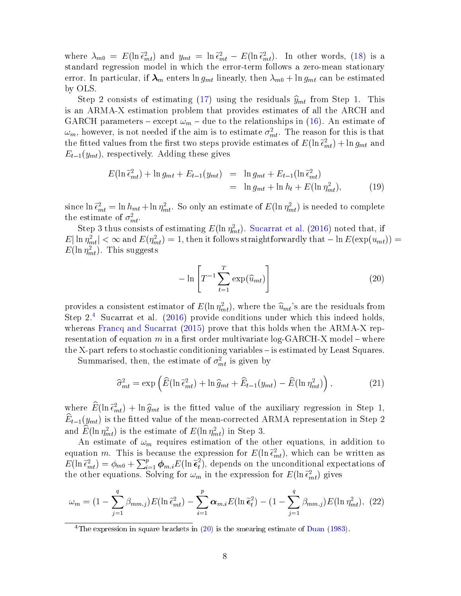where  $\lambda_{m0} = E(\ln \tilde{\epsilon}_{mt}^2)$  and  $y_{mt} = \ln \tilde{\epsilon}_{mt}^2 - E(\ln \tilde{\epsilon}_{mt}^2)$ . In other words, [\(18\)](#page-8-0) is a<br>standard regression model in which the error-term follows a zero-mean stationary standard regression model in which the error-term follows a zero-mean stationary error. In particular, if  $\lambda_m$  enters ln  $g_{mt}$  linearly, then  $\lambda_{m0} + \ln g_{mt}$  can be estimated by OLS.

Step 2 consists of estimating [\(17\)](#page-8-1) using the residuals  $\hat{y}_{mt}$  from Step 1. This is an ARMA-X estimation problem that provides estimates of all the ARCH and GARCH parameters – except  $\omega_m$  – due to the relationships in [\(16\)](#page-8-2). An estimate of  $\omega_m$ , however, is not needed if the aim is to estimate  $\sigma_{mt}^2$ . The reason for this is that the fitted values from the first two steps provide estimates of  $E(\ln \tilde{\epsilon}_{mt}^2) + \ln g_{mt}$  and  $E_{ext}(u_{-k})$  respectively. Adding these gives  $E_{t-1}(y_{mt})$ , respectively. Adding these gives

$$
E(\ln \tilde{\epsilon}_{mt}^2) + \ln g_{mt} + E_{t-1}(y_{mt}) = \ln g_{mt} + E_{t-1}(\ln \tilde{\epsilon}_{mt}^2)
$$
  
=  $\ln g_{mt} + \ln h_t + E(\ln \eta_{mt}^2)$ , (19)

since  $\ln \tilde{\epsilon}_{mt}^2 = \ln h_{mt} + \ln \eta_{mt}^2$ . So only an estimate of  $E(\ln \eta_{mt}^2)$  is needed to complete the estimate of  $\sigma^2$ the estimate of  $\sigma_{mt}^2$ .

Step 3 thus consists of estimating  $E(\ln \eta_{mt}^2)$ . [Sucarrat et al.](#page-17-3) [\(2016\)](#page-17-3) noted that, if  $|E|\ln\eta_{mt}^2|<\infty$  and  $E(\eta_{mt}^2)=1,$  then it follows straightforwardly that  $-\ln E(\exp(u_{mt}))=1$  $E(\ln \eta_{mt}^2)$ . This suggests

<span id="page-9-1"></span>
$$
-\ln\left[T^{-1}\sum_{t=1}^{T}\exp(\widehat{u}_{mt})\right]
$$
\n(20)

provides a consistent estimator of  $E(\ln \eta_{mt}^2)$ , where the  $\hat{u}_{mt}$ 's are the residuals from<br>Stop 2<sup>4</sup> Sucarrat et al. (2016) provide conditions under which this indeed holds Step 2.[4](#page-9-0) Sucarrat et al. [\(2016\)](#page-17-3) provide conditions under which this indeed holds, whereas [Francq and Sucarrat](#page-16-9) [\(2015\)](#page-16-9) prove that this holds when the ARMA-X representation of equation m in a first order multivariate  $log-GARCH-X$  model – where the X-part refers to stochastic conditioning variables – is estimated by Least Squares.

Summarised, then, the estimate of  $\sigma_{mt}^2$  is given by

<span id="page-9-2"></span>
$$
\widehat{\sigma}_{mt}^2 = \exp\left(\widehat{E}(\ln \widetilde{\epsilon}_{mt}^2) + \ln \widehat{g}_{mt} + \widehat{E}_{t-1}(y_{mt}) - \widehat{E}(\ln \eta_{mt}^2)\right),\tag{21}
$$

where  $\hat{E}(\ln \tilde{\epsilon}_{mt}^2) + \ln \hat{g}_{mt}$  is the fitted value of the auxiliary regression in Step 1,<br> $\hat{E}_{m}(\omega)$  is the fitted value of the mean corrected APMA representation in Step 3  $\widehat{E}_{t-1}(y_{mt})$  is the fitted value of the mean-corrected ARMA representation in Step 2 and  $E(\ln \eta_{mt}^2)$  is the estimate of  $E(\ln \eta_{mt}^2)$  in Step 3.

An estimate of  $\omega_m$  requires estimation of the other equations, in addition to equation m. This is because the expression for  $E(\ln \tilde{\epsilon}_{mt}^2)$ , which can be written as  $E(\ln \tilde{\epsilon}^2) = \phi_{ext} + \sum_{k=0}^{p} \phi_{ext} E(\ln \tilde{\epsilon}^2)$  depends on the unconditional expectations of  $E(\ln \tilde{\epsilon}_{mt}^2) = \phi_{m0} + \sum_{i=1}^p \phi_{m,i} E(\ln \tilde{\epsilon}_t^2)$ <br>the other equations. Solving for  $\omega$  $t<sub>t</sub>$ ), depends on the unconditional expectations of the other equations. Solving for  $\omega_m$  in the expression for  $E(\ln \tilde{\epsilon}_{mt}^2)$  gives

$$
\omega_m = \left(1 - \sum_{j=1}^q \beta_{mm,j}\right) E\left(\ln \tilde{\epsilon}_{mt}^2\right) - \sum_{i=1}^p \alpha_{m,i} E\left(\ln \tilde{\epsilon}_t^2\right) - \left(1 - \sum_{j=1}^q \beta_{mm,j}\right) E\left(\ln \eta_{mt}^2\right), (22)
$$

<span id="page-9-0"></span><sup>4</sup>The expression in square brackets in  $(20)$  is the smearing estimate of [Duan](#page-16-12)  $(1983)$ .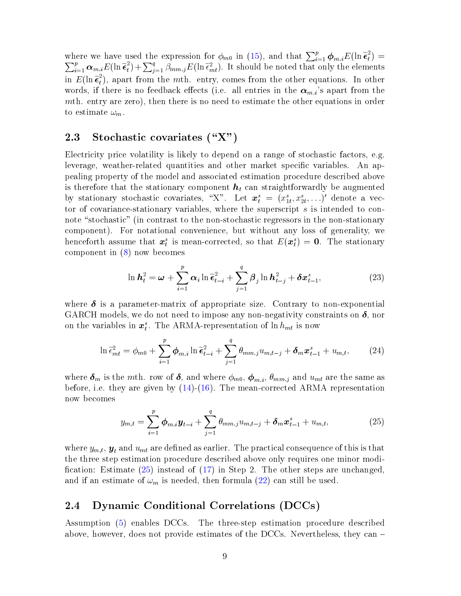where we have used the expression for  $\phi_{m0}$  in [\(15\)](#page-8-2), and that  $\sum_{i=1}^p \phi_{m,i} E(\ln \tilde{\epsilon}_t^2)$ <br>  $\sum_{i=1}^p \phi_{m,i} E(\ln \tilde{\epsilon}_t^2) + \sum_{i=1}^q \beta_{m,i} E(\ln \tilde{\epsilon}_t^2)$  is should be noted that only the elements  $\binom{2}{t} =$  $\sum_{i=1}^p \alpha_{m,i} E(\ln \tilde{\epsilon}_t^2)$  $\sum_{j=1}^{2} \beta_{mm,j} E(\ln \tilde{\epsilon}_{mt}^2)$ . It should be noted that only the elements in  $E(\ln \tilde{\epsilon}_t^2)$  $_{t}^{2}$ ), apart from the *mth*. entry, comes from the other equations. In other words, if there is no feedback effects (i.e. all entries in the  $\alpha_{m,i}$ 's apart from the mth. entry are zero), then there is no need to estimate the other equations in order to estimate  $\omega_m$ .

### <span id="page-10-0"></span>2.3 Stochastic covariates  $(\Upsilon X)$

Electricity price volatility is likely to depend on a range of stochastic factors, e.g. leverage, weather-related quantities and other market specific variables. An appealing property of the model and associated estimation procedure described above is therefore that the stationary component  $h_t$  can straightforwardly be augmented by stationary stochastic covariates, "X". Let  $\mathbf{x}_t^s = (x_{1t}^s, x_{2t}^s, \ldots)'$  denote a vector of covariance-stationary variables, where the superscript s is intended to connote "stochastic" (in contrast to the non-stochastic regressors in the non-stationary component). For notational convenience, but without any loss of generality, we henceforth assume that  $x_i^s$  is mean-corrected, so that  $E(x_i^s) = 0$ . The stationary component in [\(8\)](#page-7-1) now becomes

$$
\ln \mathbf{h}_t^2 = \boldsymbol{\omega} + \sum_{i=1}^p \alpha_i \ln \widetilde{\boldsymbol{\epsilon}}_{t-i}^2 + \sum_{j=1}^q \beta_j \ln \mathbf{h}_{t-j}^2 + \delta \mathbf{x}_{t-1}^s, \tag{23}
$$

where  $\delta$  is a parameter-matrix of appropriate size. Contrary to non-exponential GARCH models, we do not need to impose any non-negativity constraints on  $\delta$ , nor on the variables in  $x_i^s$ . The ARMA-representation of  $\ln h_{mt}$  is now

$$
\ln \tilde{\epsilon}_{mt}^2 = \phi_{m0} + \sum_{i=1}^p \phi_{m,i} \ln \tilde{\epsilon}_{t-i}^2 + \sum_{j=1}^q \theta_{mm,j} u_{m,t-j} + \delta_m \boldsymbol{x}_{t-1}^s + u_{m,t}, \qquad (24)
$$

where  $\delta_m$  is the mth. row of  $\delta$ , and where  $\phi_{m0}$ ,  $\phi_{m,i}$ ,  $\theta_{mm,j}$  and  $u_{mt}$  are the same as before, i.e. they are given by  $(14)-(16)$  $(14)-(16)$  $(14)-(16)$ . The mean-corrected ARMA representation now becomes

<span id="page-10-2"></span>
$$
y_{m,t} = \sum_{i=1}^{p} \boldsymbol{\phi}_{m,i} \boldsymbol{y}_{t-i} + \sum_{j=1}^{q} \theta_{mm,j} u_{m,t-j} + \boldsymbol{\delta}_m \boldsymbol{x}_{t-1}^s + u_{m,t},
$$
(25)

where  $y_{m,t}$ ,  $\mathbf{y}_t$  and  $u_{mt}$  are defined as earlier. The practical consequence of this is that the three step estimation procedure described above only requires one minor modi fication: Estimate  $(25)$  instead of  $(17)$  in Step 2. The other steps are unchanged, and if an estimate of  $\omega_m$  is needed, then formula [\(22\)](#page-9-2) can still be used.

### <span id="page-10-1"></span>2.4 Dynamic Conditional Correlations (DCCs)

Assumption [\(5\)](#page-6-4) enables DCCs. The three-step estimation procedure described above, however, does not provide estimates of the DCCs. Nevertheless, they can  $-$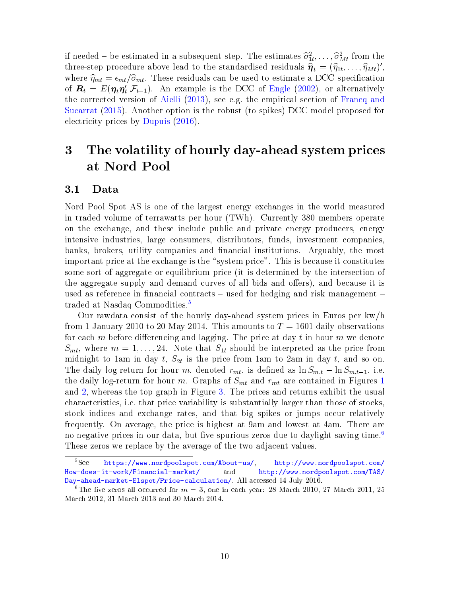if needed – be estimated in a subsequent step. The estimates  $\hat{\sigma}_{1t}^2, \ldots, \hat{\sigma}_{Mt}^2$  from the<br>three-step procedure above lead to the standardised residuals  $\hat{\mathbf{r}} = (\hat{\mathbf{r}}, \hat{\mathbf{r}}, \hat{\mathbf{r}}, \hat{\mathbf{r}})$ three-step procedure above lead to the standardised residuals  $\hat{\eta}_t = (\hat{\eta}_{1t}, \dots, \hat{\eta}_{Mt})'$ ,<br>where  $\hat{\eta}_t = \epsilon \quad (\hat{\sigma}_t$ . These residuals can be used to estimate a DCC specification where  $\hat{\eta}_{mt} = \epsilon_{mt}/\hat{\sigma}_{mt}$ . These residuals can be used to estimate a DCC specification of  $\boldsymbol{R}_t = E(\boldsymbol{\eta}_t \boldsymbol{\eta}_t' | \mathcal{F}_{t-1})$ . An example is the DCC of [Engle](#page-16-10) [\(2002\)](#page-16-10), or alternatively the corrected version of [Aielli](#page-15-4) [\(2013\)](#page-15-4), see e.g. the empirical section of [Francq and](#page-16-9) [Sucarrat](#page-16-9) [\(2015\)](#page-16-9). Another option is the robust (to spikes) DCC model proposed for electricity prices by [Dupuis](#page-16-4) [\(2016\)](#page-16-4).

## <span id="page-11-0"></span>3 The volatility of hourly day-ahead system prices at Nord Pool

#### <span id="page-11-1"></span>3.1 Data

Nord Pool Spot AS is one of the largest energy exchanges in the world measured in traded volume of terrawatts per hour (TWh). Currently 380 members operate on the exchange, and these include public and private energy producers, energy intensive industries, large consumers, distributors, funds, investment companies, banks, brokers, utility companies and financial institutions. Arguably, the most important price at the exchange is the "system price". This is because it constitutes some sort of aggregate or equilibrium price (it is determined by the intersection of the aggregate supply and demand curves of all bids and offers), and because it is used as reference in financial contracts  $-$  used for hedging and risk management  $-$ traded at Nasdaq Commodities.<sup>[5](#page-11-2)</sup>

Our rawdata consist of the hourly day-ahead system prices in Euros per kw/h from 1 January 2010 to 20 May 2014. This amounts to  $T = 1601$  daily observations for each m before differencing and lagging. The price at day  $t$  in hour m we denote  $S_{mt}$ , where  $m = 1, \ldots, 24$ . Note that  $S_{1t}$  should be interpreted as the price from midnight to 1am in day  $t$ ,  $S_{2t}$  is the price from 1am to 2am in day  $t$ , and so on. The daily log-return for hour m, denoted  $r_{mt}$ , is defined as  $\ln S_{m,t} - \ln S_{m,t-1}$ , i.e. the daily log-return for hour m. Graphs of  $S_{mt}$  and  $r_{mt}$  are contained in Figures [1](#page-22-0) and [2,](#page-23-0) whereas the top graph in Figure [3.](#page-24-0) The prices and returns exhibit the usual characteristics, i.e. that price variability is substantially larger than those of stocks, stock indices and exchange rates, and that big spikes or jumps occur relatively frequently. On average, the price is highest at 9am and lowest at 4am. There are no negative prices in our data, but five spurious zeros due to daylight saving time.<sup>[6](#page-11-3)</sup> These zeros we replace by the average of the two adjacent values.

<span id="page-11-2"></span><sup>5</sup>See [https://www.nordpoolspot.com/About-us/,](https://www.nordpoolspot.com/About-us/) [http://www.nordpoolspot.com/](http://www.nordpoolspot.com/How-does-it-work/Financial-market/) [How-does-it-work/Financial-market/](http://www.nordpoolspot.com/How-does-it-work/Financial-market/) and [http://www.nordpoolspot.com/TAS/](http://www.nordpoolspot.com/TAS/Day-ahead-market-Elspot/Price-calculation/) [Day-ahead-market-Elspot/Price-calculation/.](http://www.nordpoolspot.com/TAS/Day-ahead-market-Elspot/Price-calculation/) All accessed 14 July 2016.

<span id="page-11-3"></span><sup>&</sup>lt;sup>6</sup>The five zeros all occurred for  $m = 3$ , one in each year: 28 March 2010, 27 March 2011, 25 March 2012, 31 March 2013 and 30 March 2014.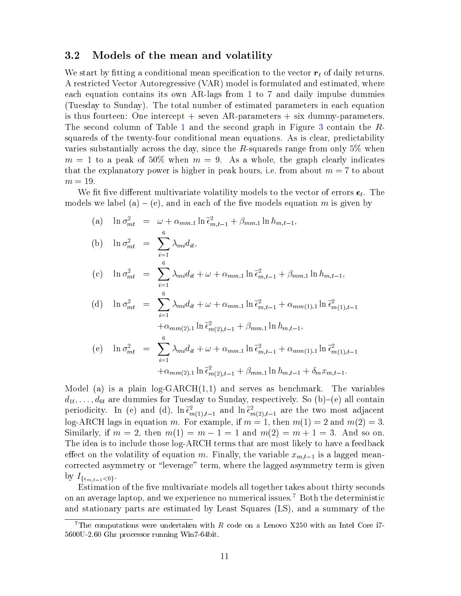#### <span id="page-12-0"></span>3.2 Models of the mean and volatility

We start by fitting a conditional mean specification to the vector  $r_t$  of daily returns. A restricted Vector Autoregressive (VAR) model is formulated and estimated, where each equation contains its own AR-lags from 1 to 7 and daily impulse dummies (Tuesday to Sunday). The total number of estimated parameters in each equation is thus fourteen: One intercept  $+$  seven AR-parameters  $+$  six dummy-parameters. The second column of Table [1](#page-18-0) and the second graph in Figure [3](#page-24-0) contain the Rsquareds of the twenty-four conditional mean equations. As is clear, predictability varies substantially across the day, since the R-squareds range from only  $5\%$  when  $m = 1$  to a peak of 50% when  $m = 9$ . As a whole, the graph clearly indicates that the explanatory power is higher in peak hours, i.e. from about  $m = 7$  to about  $m = 19$ .

We fit five different multivariate volatility models to the vector of errors  $\epsilon_t$ . The models we label (a) – (e), and in each of the five models equation m is given by

(a) 
$$
\ln \sigma_{mt}^2 = \omega + \alpha_{mm,1} \ln \tilde{\epsilon}_{m,t-1}^2 + \beta_{mm,1} \ln h_{m,t-1},
$$
  
\n(b)  $\ln \sigma_{mt}^2 = \sum_{i=1}^6 \lambda_{mi} d_{it},$   
\n(c)  $\ln \sigma_{mt}^2 = \sum_{i=1}^6 \lambda_{mi} d_{it} + \omega + \alpha_{mm,1} \ln \tilde{\epsilon}_{m,t-1}^2 + \beta_{mm,1} \ln h_{m,t-1},$   
\n(d)  $\ln \sigma_{mt}^2 = \sum_{i=1}^6 \lambda_{mi} d_{it} + \omega + \alpha_{mm,1} \ln \tilde{\epsilon}_{m,t-1}^2 + \alpha_{mm(1),1} \ln \tilde{\epsilon}_{m(1),t-1}^2 + \alpha_{mm(2),1} \ln \tilde{\epsilon}_{m(2),t-1}^2 + \beta_{mm,1} \ln h_{m,t-1},$   
\n(e)  $\ln \sigma_{mt}^2 = \sum_{i=1}^6 \lambda_{mi} d_{it} + \omega + \alpha_{mm,1} \ln \tilde{\epsilon}_{m,t-1}^2 + \alpha_{mm(1),1} \ln \tilde{\epsilon}_{m(1),t-1}^2 + \alpha_{mm(2),1} \ln \tilde{\epsilon}_{m(2),t-1}^2 + \beta_{mm,1} \ln h_{m,t-1} + \delta_m x_{m,t-1}.$ 

Model (a) is a plain  $log-GARCH(1,1)$  and serves as benchmark. The variables  $d_{1t}, \ldots, d_{6t}$  are dummies for Tuesday to Sunday, respectively. So (b)–(e) all contain periodicity. In (e) and (d),  $\ln \tilde{\epsilon}_{m(1),t-1}^2$  and  $\ln \tilde{\epsilon}_{m(2),t-1}^2$  are the two most adjacent<br>lex ABCH lags in equation  $m$ . For example, if  $m-1$ , then  $m(1)-2$  and  $m(2)-3$ . log-ARCH lags in equation m. For example, if  $m = 1$ , then  $m(1) = 2$  and  $m(2) = 3$ . Similarly, if  $m = 2$ , then  $m(1) = m - 1 = 1$  and  $m(2) = m + 1 = 3$ . And so on. The idea is to include those log-ARCH terms that are most likely to have a feedback effect on the volatility of equation m. Finally, the variable  $x_{m,t-1}$  is a lagged meancorrected asymmetry or "leverage" term, where the lagged asymmetry term is given by  $I_{\{\epsilon_{m,t-1}<0\}}$ .

Estimation of the five multivariate models all together takes about thirty seconds on an average laptop, and we experience no numerical issues.<sup>[7](#page-12-1)</sup> Both the deterministic and stationary parts are estimated by Least Squares (LS), and a summary of the

<span id="page-12-1"></span><sup>&</sup>lt;sup>7</sup>The computations were undertaken with  $R$  code on a Lenovo X250 with an Intel Core i7-5600U-2.60 Ghz processor running Win7-64bit.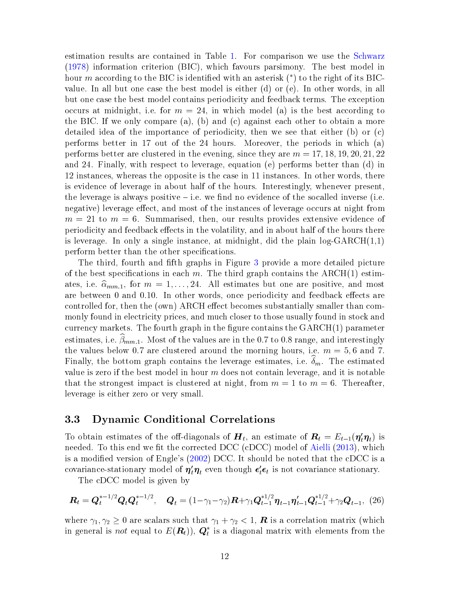estimation results are contained in Table [1.](#page-18-0) For comparison we use the [Schwarz](#page-17-10) [\(1978\)](#page-17-10) information criterion (BIC), which favours parsimony. The best model in hour  $m$  according to the BIC is identified with an asterisk  $(*)$  to the right of its BICvalue. In all but one case the best model is either (d) or (e). In other words, in all but one case the best model contains periodicity and feedback terms. The exception occurs at midnight, i.e. for  $m = 24$ , in which model (a) is the best according to the BIC. If we only compare (a), (b) and (c) against each other to obtain a more detailed idea of the importance of periodicity, then we see that either (b) or (c) performs better in 17 out of the 24 hours. Moreover, the periods in which (a) performs better are clustered in the evening, since they are  $m = 17, 18, 19, 20, 21, 22$ and 24. Finally, with respect to leverage, equation (e) performs better than (d) in 12 instances, whereas the opposite is the case in 11 instances. In other words, there is evidence of leverage in about half of the hours. Interestingly, whenever present, the leverage is always positive  $-$  i.e. we find no evidence of the socalled inverse (i.e. negative) leverage effect, and most of the instances of leverage occurs at night from  $m = 21$  to  $m = 6$ . Summarised, then, our results provides extensive evidence of periodicity and feedback effects in the volatility, and in about half of the hours there is leverage. In only a single instance, at midnight, did the plain  $log-GARCH(1,1)$ perform better than the other specifications.

The third, fourth and fth graphs in Figure [3](#page-24-0) provide a more detailed picture of the best specifications in each m. The third graph contains the  $\text{ARCH}(1)$  estimates, i.e.  $\hat{\alpha}_{mm,1}$ , for  $m = 1, \ldots, 24$ . All estimates but one are positive, and most are between 0 and 0.10. In other words, once periodicity and feedback effects are controlled for, then the (own) ARCH effect becomes substantially smaller than commonly found in electricity prices, and much closer to those usually found in stock and currency markets. The fourth graph in the figure contains the  $GARCH(1)$  parameter estimates, i.e.  $\widehat{\beta}_{mm.1}$ . Most of the values are in the 0.7 to 0.8 range, and interestingly the values below 0.7 are clustered around the morning hours, i.e.  $m = 5, 6$  and 7. Finally, the bottom graph contains the leverage estimates, i.e.  $\delta_m$ . The estimated value is zero if the best model in hour  $m$  does not contain leverage, and it is notable that the strongest impact is clustered at night, from  $m = 1$  to  $m = 6$ . Thereafter, leverage is either zero or very small.

### <span id="page-13-0"></span>3.3 Dynamic Conditional Correlations

To obtain estimates of the off-diagonals of  $\boldsymbol{H}_t$ , an estimate of  $\boldsymbol{R}_t = E_{t-1}(\boldsymbol{\eta}_t^{\prime}\boldsymbol{\eta}_t)$  is needed. To this end we fit the corrected DCC (cDCC) model of [Aielli](#page-15-4)  $(2013)$ , which is a modied version of Engle's [\(2002\)](#page-16-10) DCC. It should be noted that the cDCC is a covariance-stationary model of  $\bm{\eta}_t'\bm{\eta}_t$  even though  $\bm{\epsilon}_t'\bm{\epsilon}_t$  is not covariance stationary.

The cDCC model is given by

$$
\boldsymbol{R}_t = \boldsymbol{Q}_t^{*-1/2} \boldsymbol{Q}_t \boldsymbol{Q}_t^{*-1/2}, \quad \boldsymbol{Q}_t = (1 - \gamma_1 - \gamma_2) \boldsymbol{R} + \gamma_1 \boldsymbol{Q}_{t-1}^{*1/2} \boldsymbol{\eta}_{t-1} \boldsymbol{\eta}_{t-1}^{\prime} \boldsymbol{Q}_{t-1}^{*1/2} + \gamma_2 \boldsymbol{Q}_{t-1}, \tag{26}
$$

where  $\gamma_1, \gamma_2 \geq 0$  are scalars such that  $\gamma_1 + \gamma_2 < 1$ , **R** is a correlation matrix (which in general is not equal to  $E(\boldsymbol{R}_t))$ ,  $\boldsymbol{Q}_t^*$  is a diagonal matrix with elements from the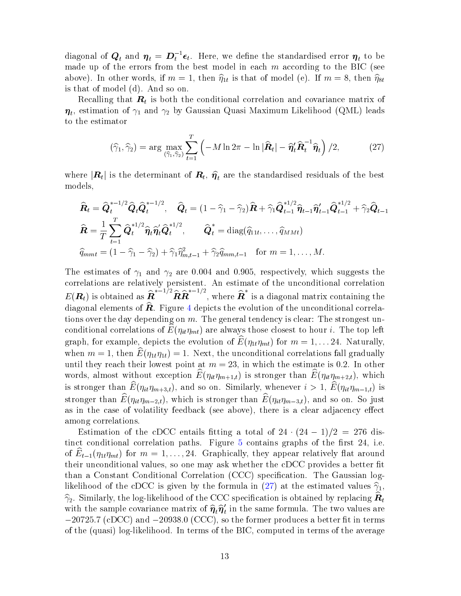diagonal of  $\bm{Q}_t$  and  $\bm{\eta}_t = \bm{D}_t^{-1} \bm{\epsilon}_t$ . Here, we define the standardised error  $\bm{\eta}_t$  to be made up of the errors from the best model in each  $m$  according to the BIC (see above). In other words, if  $m = 1$ , then  $\hat{\eta}_{1t}$  is that of model (e). If  $m = 8$ , then  $\hat{\eta}_{8t}$  is that of model (d) And so on is that of model (d). And so on.

Recalling that  $\boldsymbol{R}_t$  is both the conditional correlation and covariance matrix of  $\boldsymbol{\eta}_t$ , estimation of  $\gamma_1$  and  $\gamma_2$  by Gaussian Quasi Maximum Likelihood (QML) leads to the estimator

<span id="page-14-0"></span>
$$
(\widehat{\gamma}_1, \widehat{\gamma}_2) = \arg \max_{(\widehat{\gamma}_1, \widehat{\gamma}_2)} \sum_{t=1}^T \left( -M \ln 2\pi - \ln |\widehat{\boldsymbol{R}}_t| - \widehat{\boldsymbol{\eta}}_t^t \widehat{\boldsymbol{R}}_t^{-1} \widehat{\boldsymbol{\eta}}_t \right) / 2, \tag{27}
$$

where  $|\mathbf{R}_t|$  is the determinant of  $\mathbf{R}_t$ ,  $\hat{\pmb{\eta}}_t$  are the standardised residuals of the best models models,

$$
\widehat{\boldsymbol{R}}_t = \widehat{\boldsymbol{Q}}_t^{*-1/2} \widehat{\boldsymbol{Q}}_t \widehat{\boldsymbol{Q}}_t^{*-1/2}, \quad \widehat{\boldsymbol{Q}}_t = (1 - \widehat{\gamma}_1 - \widehat{\gamma}_2) \widehat{\boldsymbol{R}} + \widehat{\gamma}_1 \widehat{\boldsymbol{Q}}_{t-1}^{*1/2} \widehat{\boldsymbol{\eta}}_{t-1} \widehat{\boldsymbol{\eta}}_{t-1}^{*1/2} + \widehat{\gamma}_2 \widehat{\boldsymbol{Q}}_{t-1}^{*1/2} \n\widehat{\boldsymbol{R}} = \frac{1}{T} \sum_{t=1}^T \widehat{\boldsymbol{Q}}_t^{*1/2} \widehat{\boldsymbol{\eta}}_t \widehat{\boldsymbol{\eta}}_t^{*1/2}, \qquad \widehat{\boldsymbol{Q}}_t^* = \text{diag}(\widehat{q}_{11t}, \dots, \widehat{q}_{MMt}) \n\widehat{q}_{mmt} = (1 - \widehat{\gamma}_1 - \widehat{\gamma}_2) + \widehat{\gamma}_1 \widehat{\eta}_{m,t-1}^2 + \widehat{\gamma}_2 \widehat{q}_{mm,t-1} \quad \text{for } m = 1, \dots, M.
$$

The estimates of  $\gamma_1$  and  $\gamma_2$  are 0.004 and 0.905, respectively, which suggests the correlations are relatively persistent. An estimate of the unconditional correlation  $E(\boldsymbol{R}_t)$  is obtained as  $\widehat{\boldsymbol{R}}^{*-1/2} \widehat{\boldsymbol{R}} \widehat{\boldsymbol{R}}^{*-1/2}$ , where  $\widehat{\boldsymbol{R}}^*$  is a diagonal matrix containing the diagonal elements of  $\hat{\boldsymbol{R}}$ . Figure [4](#page-25-0) depicts the evolution of the unconditional correlations over the day depending on  $m$ . The general tendency is clear: The strongest unconditional correlations of  $E(\eta_{it}\eta_{mt})$  are always those closest to hour i. The top left graph, for example, depicts the evolution of  $\widehat{E}(\eta_{1t}\eta_{mt})$  for  $m = 1, \ldots 24$ . Naturally, when  $m = 1$ , then  $\widehat{E}(\eta_{1t}\eta_{1t}) = 1$ . Next, the unconditional correlations fall gradually until they reach their lowest point at  $m = 23$ , in which the estimate is 0.2. In other words, almost without exception  $\widehat{E}(\eta_{it}\eta_{m+1,t})$  is stronger than  $\widehat{E}(\eta_{it}\eta_{m+2,t})$ , which is stronger than  $\widehat{E}(\eta_{it}\eta_{m+3,t})$ , and so on. Similarly, whenever  $i > 1$ ,  $\widehat{E}(\eta_{it}\eta_{m-1,t})$  is stronger than  $\widehat{E}(\eta_{it}\eta_{m-2,t})$ , which is stronger than  $\widehat{E}(\eta_{it}\eta_{m-3,t})$ , and so on. So just as in the case of volatility feedback (see above), there is a clear adjacency effect among correlations.

Estimation of the cDCC entails fitting a total of  $24 \cdot (24-1)/2 = 276$  distinct conditional correlation paths. Figure  $5$  contains graphs of the first 24, i.e. of  $E_{t-1}(\eta_{1t}\eta_{mt})$  for  $m = 1, \ldots, 24$ . Graphically, they appear relatively flat around their unconditional values, so one may ask whether the cDCC provides a better fit than a Constant Conditional Correlation (CCC) specification. The Gaussian log-likelihood of the cDCC is given by the formula in [\(27\)](#page-14-0) at the estimated values  $\hat{\gamma}_1$ ,  $\widehat{\gamma}_2$ . Similarly, the log-likelihood of the CCC specification is obtained by replacing  $\widehat{\bm{R}}_t$ with the sample covariance matrix of  $\hat{\eta}_t \hat{\eta}'_t$ <br>  $\sim 20725.7$  (cDCC) and  $\sim 20038.0$  (CCC) so  $t<sub>t</sub>$  in the same formula. The two values are  $-20725.7$  (cDCC) and  $-20938.0$  (CCC), so the former produces a better fit in terms of the (quasi) log-likelihood. In terms of the BIC, computed in terms of the average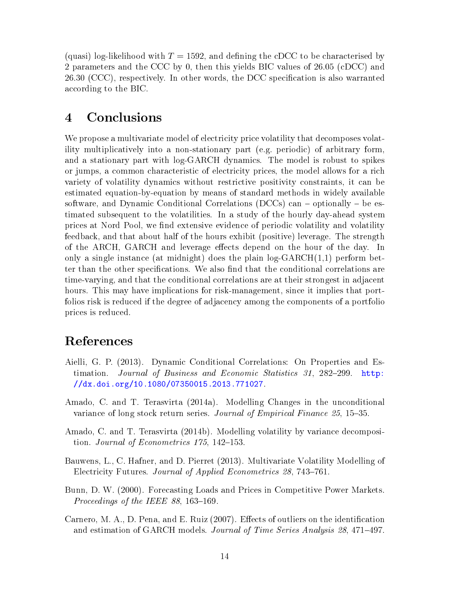(quasi) log-likelihood with  $T = 1592$ , and defining the cDCC to be characterised by 2 parameters and the CCC by 0, then this yields BIC values of 26.05 (cDCC) and 26.30 (CCC), respectively. In other words, the DCC specification is also warranted according to the BIC.

### <span id="page-15-0"></span>4 Conclusions

We propose a multivariate model of electricity price volatility that decomposes volatility multiplicatively into a non-stationary part (e.g. periodic) of arbitrary form, and a stationary part with log-GARCH dynamics. The model is robust to spikes or jumps, a common characteristic of electricity prices, the model allows for a rich variety of volatility dynamics without restrictive positivity constraints, it can be estimated equation-by-equation by means of standard methods in widely available software, and Dynamic Conditional Correlations (DCCs) can  ${\sim}$  optionally  ${\sim}$  be estimated subsequent to the volatilities. In a study of the hourly day-ahead system prices at Nord Pool, we find extensive evidence of periodic volatility and volatility feedback, and that about half of the hours exhibit (positive) leverage. The strength of the ARCH, GARCH and leverage effects depend on the hour of the day. In only a single instance (at midnight) does the plain  $log-GARCH(1,1)$  perform better than the other specifications. We also find that the conditional correlations are time-varying, and that the conditional correlations are at their strongest in adjacent hours. This may have implications for risk-management, since it implies that portfolios risk is reduced if the degree of adjacency among the components of a portfolio prices is reduced.

### References

- <span id="page-15-4"></span>Aielli, G. P. (2013). Dynamic Conditional Correlations: On Properties and Estimation. Journal of Business and Economic Statistics  $31$ , 282-299. [http:](http://dx.doi.org/10.1080/07350015.2013.771027) [//dx.doi.org/10.1080/07350015.2013.771027.](http://dx.doi.org/10.1080/07350015.2013.771027)
- <span id="page-15-5"></span>Amado, C. and T. Terasvirta (2014a). Modelling Changes in the unconditional variance of long stock return series. Journal of Empirical Finance 25, 15-35.
- <span id="page-15-6"></span>Amado, C. and T. Terasvirta (2014b). Modelling volatility by variance decomposition. Journal of Econometrics  $175, 142-153$ .
- <span id="page-15-2"></span>Bauwens, L., C. Hafner, and D. Pierret (2013). Multivariate Volatility Modelling of Electricity Futures. Journal of Applied Econometrics 28, 743-761.
- <span id="page-15-1"></span>Bunn, D. W. (2000). Forecasting Loads and Prices in Competitive Power Markets. Proceedings of the IEEE 88, 163-169.
- <span id="page-15-3"></span>Carnero, M. A., D. Pena, and E. Ruiz  $(2007)$ . Effects of outliers on the identification and estimation of GARCH models. Journal of Time Series Analysis 28, 471–497.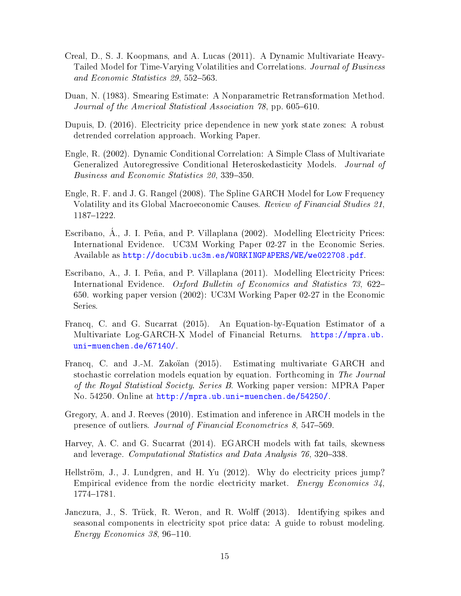- <span id="page-16-7"></span>Creal, D., S. J. Koopmans, and A. Lucas (2011). A Dynamic Multivariate Heavy-Tailed Model for Time-Varying Volatilities and Correlations. Journal of Business and Economic Statistics 29, 552-563.
- <span id="page-16-12"></span>Duan, N. (1983). Smearing Estimate: A Nonparametric Retransformation Method. Journal of the Americal Statistical Association  $78$ , pp. 605-610.
- <span id="page-16-4"></span>Dupuis, D. (2016). Electricity price dependence in new york state zones: A robust detrended correlation approach. Working Paper.
- <span id="page-16-10"></span>Engle, R. (2002). Dynamic Conditional Correlation: A Simple Class of Multivariate Generalized Autoregressive Conditional Heteroskedasticity Models. Journal of Business and Economic Statistics 20, 339-350.
- <span id="page-16-11"></span>Engle, R. F. and J. G. Rangel (2008). The Spline GARCH Model for Low Frequency Volatility and its Global Macroeconomic Causes. Review of Financial Studies 21, 1187-1222.
- <span id="page-16-1"></span>Escribano, A., J. I. Peña, and P. Villaplana  $(2002)$ . Modelling Electricity Prices: International Evidence. UC3M Working Paper 02-27 in the Economic Series. Available as [http://docubib.uc3m.es/WORKINGPAPERS/WE/we022708.pdf.](http://docubib.uc3m.es/WORKINGPAPERS/WE/we022708.pdf)
- <span id="page-16-2"></span>Escribano, A., J. I. Peña, and P. Villaplana (2011). Modelling Electricity Prices: International Evidence. Oxford Bulletin of Economics and Statistics 73, 622– 650. working paper version (2002): UC3M Working Paper 02-27 in the Economic Series.
- <span id="page-16-9"></span>Francq, C. and G. Sucarrat (2015). An Equation-by-Equation Estimator of a Multivariate Log-GARCH-X Model of Financial Returns. [https://mpra.ub.](https://mpra.ub.uni-muenchen.de/67140/) [uni-muenchen.de/67140/.](https://mpra.ub.uni-muenchen.de/67140/)
- <span id="page-16-8"></span>Francq, C. and J.-M. Zakoïan (2015). Estimating multivariate GARCH and stochastic correlation models equation by equation. Forthcoming in The Journal of the Royal Statistical Society. Series B. Working paper version: MPRA Paper No. 54250. Online at [http://mpra.ub.uni-muenchen.de/54250/.](http://mpra.ub.uni-muenchen.de/54250/)
- <span id="page-16-5"></span>Gregory, A. and J. Reeves (2010). Estimation and inference in ARCH models in the presence of outliers. Journal of Financial Econometrics  $8,547-569$ .
- <span id="page-16-6"></span>Harvey, A. C. and G. Sucarrat (2014). EGARCH models with fat tails, skewness and leverage. Computational Statistics and Data Analysis 76, 320–338.
- <span id="page-16-3"></span>Hellström, J., J. Lundgren, and H. Yu  $(2012)$ . Why do electricity prices jump? Empirical evidence from the nordic electricity market. Energy Economics 34, 1774-1781.
- <span id="page-16-0"></span>Janczura, J., S. Trück, R. Weron, and R. Wolff (2013). Identifying spikes and seasonal components in electricity spot price data: A guide to robust modeling.  $Energy Economics$  38, 96-110.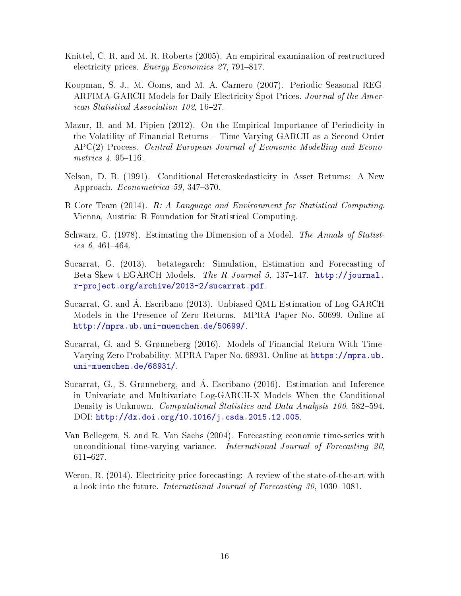- <span id="page-17-0"></span>Knittel, C. R. and M. R. Roberts (2005). An empirical examination of restructured electricity prices. *Energy Economics 27*, 791-817.
- <span id="page-17-2"></span>Koopman, S. J., M. Ooms, and M. A. Carnero (2007). Periodic Seasonal REG-ARFIMA-GARCH Models for Daily Electricity Spot Prices. Journal of the American Statistical Association 102, 16-27.
- <span id="page-17-9"></span>Mazur, B. and M. Pipien (2012). On the Empirical Importance of Periodicity in the Volatility of Financial Returns - Time Varying GARCH as a Second Order APC(2) Process. Central European Journal of Economic Modelling and Econometrics  $4, 95-116$ .
- <span id="page-17-4"></span>Nelson, D. B. (1991). Conditional Heteroskedasticity in Asset Returns: A New Approach. *Econometrica* 59, 347-370.
- <span id="page-17-11"></span>R Core Team (2014). R: A Language and Environment for Statistical Computing. Vienna, Austria: R Foundation for Statistical Computing.
- <span id="page-17-10"></span>Schwarz, G. (1978). Estimating the Dimension of a Model. The Annals of Statistics  $6,461-464.$
- <span id="page-17-5"></span>Sucarrat, G. (2013). betategarch: Simulation, Estimation and Forecasting of Beta-Skew-t-EGARCH Models. The R Journal 5, 137-147. [http://journal.](http://journal.r-project.org/archive/2013-2/sucarrat.pdf) [r-project.org/archive/2013-2/sucarrat.pdf.](http://journal.r-project.org/archive/2013-2/sucarrat.pdf)
- <span id="page-17-6"></span>Sucarrat, G. and A. Escribano (2013). Unbiased QML Estimation of Log-GARCH Models in the Presence of Zero Returns. MPRA Paper No. 50699. Online at [http://mpra.ub.uni-muenchen.de/50699/.](http://mpra.ub.uni-muenchen.de/50699/)
- <span id="page-17-7"></span>Sucarrat, G. and S. Grønneberg (2016). Models of Financial Return With Time-Varying Zero Probability. MPRA Paper No. 68931. Online at [https://mpra.ub.](https://mpra.ub.uni-muenchen.de/68931/) [uni-muenchen.de/68931/.](https://mpra.ub.uni-muenchen.de/68931/)
- <span id="page-17-3"></span>Sucarrat, G., S. Grønneberg, and Á. Escribano (2016). Estimation and Inference in Univariate and Multivariate Log-GARCH-X Models When the Conditional Density is Unknown. *Computational Statistics and Data Analysis 100*, 582–594. DOI: [http://dx.doi.org/10.1016/j.csda.2015.12.005.](http://dx.doi.org/10.1016/j.csda.2015.12.005)
- <span id="page-17-8"></span>Van Bellegem, S. and R. Von Sachs (2004). Forecasting economic time-series with unconditional time-varying variance. International Journal of Forecasting 20, 611-627.
- <span id="page-17-1"></span>Weron, R. (2014). Electricity price forecasting: A review of the state-of-the-art with a look into the future. International Journal of Forecasting  $30, 1030{-}1081$ .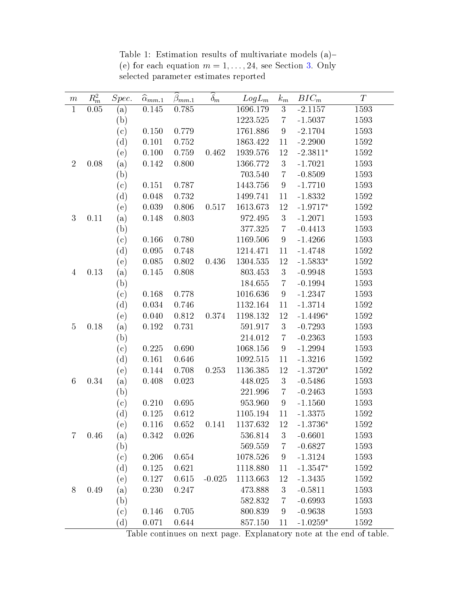<span id="page-18-0"></span>

| $\,m$          | $R_m^2$  | Spec.                    | $\widehat{\alpha}_{\underline{mm.1}}$ | $\hat{\beta}_{\underline{mm,1}}$ | $\overline{\delta_m}$ | $LogL_m$ | $\boldsymbol{k}_{m}$ | $BIC_m$            | T    |
|----------------|----------|--------------------------|---------------------------------------|----------------------------------|-----------------------|----------|----------------------|--------------------|------|
| $\mathbf{1}$   | 0.05     | (a)                      | 0.145                                 | 0.785                            |                       | 1696.179 | $\mathbf{3}$         | $-2.1157$          | 1593 |
|                |          | (b)                      |                                       |                                  |                       | 1223.525 | $\overline{7}$       | $-1.5037$          | 1593 |
|                |          | $^{\rm (c)}$             | 0.150                                 | 0.779                            |                       | 1761.886 | $\boldsymbol{9}$     | $-2.1704$          | 1593 |
|                |          | (d)                      | 0.101                                 | 0.752                            |                       | 1863.422 | 11                   | $-2.2900$          | 1592 |
|                |          | (e)                      | 0.100                                 | 0.759                            | 0.462                 | 1939.576 | 12                   | $-2.3811*$         | 1592 |
| $\overline{2}$ | 0.08     | (a)                      | 0.142                                 | 0.800                            |                       | 1366.772 | $\sqrt{3}$           | $-1.7021$          | 1593 |
|                |          | (b)                      |                                       |                                  |                       | 703.540  | $\overline{7}$       | $-0.8509$          | 1593 |
|                |          | $\rm (c)$                | 0.151                                 | 0.787                            |                       | 1443.756 | $\boldsymbol{9}$     | $-1.7710$          | 1593 |
|                |          | (d)                      | 0.048                                 | 0.732                            |                       | 1499.741 | 11                   | $-1.8332$          | 1592 |
|                |          | (e)                      | 0.039                                 | 0.806                            | 0.517                 | 1613.673 | 12                   | $-1.9717*$         | 1592 |
| 3              | 0.11     | (a)                      | 0.148                                 | 0.803                            |                       | 972.495  | $\mathbf{3}$         | $-1.2071$          | 1593 |
|                |          | (b)                      |                                       |                                  |                       | 377.325  | $\!\!7$              | $-0.4413$          | 1593 |
|                |          | $(\mathrm{c})$           | 0.166                                 | 0.780                            |                       | 1169.506 | $\boldsymbol{9}$     | $-1.4266$          | 1593 |
|                |          | (d)                      | 0.095                                 | 0.748                            |                       | 1214.471 | 11                   | $-1.4748$          | 1592 |
|                |          | (e)                      | $0.085\,$                             | 0.802                            | 0.436                 | 1304.535 | 12                   | $-1.5833*$         | 1592 |
| $\overline{4}$ | 0.13     | (a)                      | 0.145                                 | 0.808                            |                       | 803.453  | $\sqrt{3}$           | $-0.9948$          | 1593 |
|                |          | (b)                      |                                       |                                  |                       | 184.655  | $\overline{7}$       | $-0.1994$          | 1593 |
|                |          | (c)                      | 0.168                                 | 0.778                            |                       | 1016.636 | $\boldsymbol{9}$     | $-1.2347$          | 1593 |
|                |          | (d)                      | 0.034                                 | 0.746                            |                       | 1132.164 | 11                   | $-1.3714$          | 1592 |
|                |          | (e)                      | 0.040                                 | 0.812                            | 0.374                 | 1198.132 | 12                   | $-1.4496*$         | 1592 |
| $\overline{5}$ | 0.18     | (a)                      | 0.192                                 | 0.731                            |                       | 591.917  | $\boldsymbol{3}$     | $-0.7293$          | 1593 |
|                |          | (b)                      |                                       |                                  |                       | 214.012  | $\overline{7}$       | $-0.2363$          | 1593 |
|                |          | (c)                      | 0.225                                 | 0.690                            |                       | 1068.156 | $\boldsymbol{9}$     | $-1.2994$          | 1593 |
|                |          | (d)                      | 0.161                                 | 0.646                            |                       | 1092.515 | 11                   | $-1.3216$          | 1592 |
|                |          | (e)                      | 0.144                                 | 0.708                            | 0.253                 | 1136.385 | 12                   | $-1.3720*$         | 1592 |
| $\,6\,$        | 0.34     | (a)                      | 0.408                                 | 0.023                            |                       | 448.025  | $\boldsymbol{3}$     | $-0.5486$          | 1593 |
|                |          | (b)                      |                                       |                                  |                       | 221.996  | $\overline{7}$       | $-0.2463$          | 1593 |
|                |          | $\left( \text{c}\right)$ | 0.210                                 | 0.695                            |                       | 953.960  | $\boldsymbol{9}$     | $-1.1560$          | 1593 |
|                |          | (d)                      | 0.125                                 | 0.612                            |                       | 1105.194 | 11                   | $-1.3375$          | 1592 |
|                |          | (e)                      | 0.116                                 |                                  | $0.652$ $0.141$       | 1137.632 | <sup>12</sup>        | $-1.3736*$         | 1592 |
| 7              | $0.46\,$ | (a)                      | 0.342                                 | 0.026                            |                       | 536.814  | 3                    | $-0.6601$          | 1593 |
|                |          | (b)                      |                                       |                                  |                       | 569.559  | $\overline{7}$       | $-0.6827$          | 1593 |
|                |          | (c)                      | 0.206                                 | 0.654                            |                       | 1078.526 | $9\phantom{.0}$      | $-1.3124$          | 1593 |
|                |          | (d)                      | 0.125                                 | 0.621                            |                       | 1118.880 | 11                   | $-1.3547*$         | 1592 |
|                |          | (e)                      | 0.127                                 | 0.615                            | $-0.025$              | 1113.663 | 12                   | $-1.3435$          | 1592 |
| $8\,$          | 0.49     | (a)                      | 0.230                                 | 0.247                            |                       | 473.888  | 3                    | $-0.5811$          | 1593 |
|                |          | (b)                      |                                       |                                  |                       | 582.832  | $\overline{7}$       | $-0.6993$          | 1593 |
|                |          | (c)                      | 0.146                                 | 0.705                            |                       | 800.839  | 9                    | $-0.9638$          | 1593 |
|                |          | (d)                      | 0.071                                 | 0.644                            |                       | 857.150  | 11                   | $\text{-}1.0259^*$ | 1592 |

Table 1: Estimation results of multivariate models (a)-(e) for each equation  $m = 1, \ldots, 24$ , see Section [3.](#page-11-0) Only selected parameter estimates reported

Table continues on next page. Explanatory note at the end of table.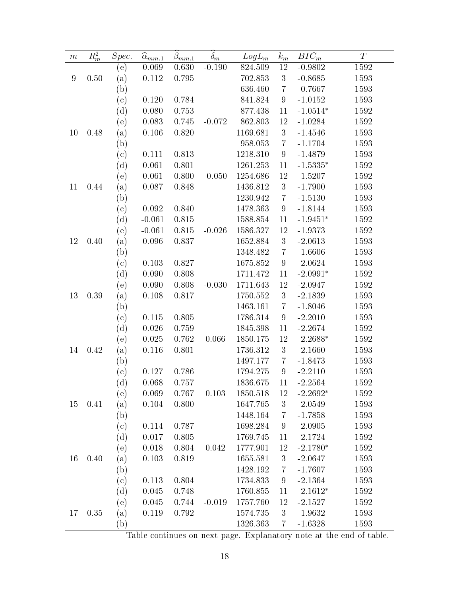| $\,m$ | $R_m^2$ | Spec.             | $\overline{\hat{\alpha}}_{mm.1}$ | $\beta_{mm\_1}$ | $\widehat{\delta_m}$ | $LogL_m$ | $k_m$            | $BIC_m$    | $\boldsymbol{T}$ |
|-------|---------|-------------------|----------------------------------|-----------------|----------------------|----------|------------------|------------|------------------|
|       |         | (e)               | 0.069                            | 0.630           | $-0.190$             | 824.509  | 12               | $-0.9802$  | 1592             |
| 9     | 0.50    | (a)               | 0.112                            | 0.795           |                      | 702.853  | 3                | $-0.8685$  | 1593             |
|       |         | (b)               |                                  |                 |                      | 636.460  | $\overline{7}$   | $-0.7667$  | 1593             |
|       |         | (c)               | 0.120                            | 0.784           |                      | 841.824  | $\overline{9}$   | $-1.0152$  | 1593             |
|       |         | $(\mathrm{d})$    | 0.080                            | 0.753           |                      | 877.438  | 11               | $-1.0514*$ | 1592             |
|       |         | (e)               | 0.083                            | 0.745           | $-0.072$             | 862.803  | 12               | $-1.0284$  | 1592             |
| 10    | 0.48    | (a)               | 0.106                            | 0.820           |                      | 1169.681 | $\boldsymbol{3}$ | $-1.4546$  | 1593             |
|       |         | $\left( b\right)$ |                                  |                 |                      | 958.053  | $\overline{7}$   | $-1.1704$  | 1593             |
|       |         | (c)               | 0.111                            | 0.813           |                      | 1218.310 | $9\phantom{.}$   | $-1.4879$  | 1593             |
|       |         | (d)               | 0.061                            | 0.801           |                      | 1261.253 | 11               | $-1.5335*$ | 1592             |
|       |         | (e)               | 0.061                            | 0.800           | $-0.050$             | 1254.686 | 12               | $-1.5207$  | 1592             |
| 11    | 0.44    | (a)               | 0.087                            | 0.848           |                      | 1436.812 | $\sqrt{3}$       | $-1.7900$  | 1593             |
|       |         | $\left( b\right)$ |                                  |                 |                      | 1230.942 | $\overline{7}$   | $-1.5130$  | 1593             |
|       |         | (c)               | 0.092                            | 0.840           |                      | 1478.363 | $\boldsymbol{9}$ | $-1.8144$  | 1593             |
|       |         | (d)               | $-0.061$                         | 0.815           |                      | 1588.854 | 11               | $-1.9451*$ | 1592             |
|       |         | (e)               | $-0.061$                         | 0.815           | $-0.026$             | 1586.327 | 12               | $-1.9373$  | 1592             |
| 12    | 0.40    | (a)               | 0.096                            | 0.837           |                      | 1652.884 | $\boldsymbol{3}$ | $-2.0613$  | 1593             |
|       |         | (b)               |                                  |                 |                      | 1348.482 | $\overline{7}$   | $-1.6606$  | 1593             |
|       |         | (c)               | 0.103                            | 0.827           |                      | 1675.852 | $\boldsymbol{9}$ | $-2.0624$  | 1593             |
|       |         | (d)               | 0.090                            | 0.808           |                      | 1711.472 | 11               | $-2.0991*$ | 1592             |
|       |         | (e)               | 0.090                            | 0.808           | $-0.030$             | 1711.643 | 12               | $-2.0947$  | 1592             |
| 13    | 0.39    | (a)               | 0.108                            | 0.817           |                      | 1750.552 | $\sqrt{3}$       | $-2.1839$  | 1593             |
|       |         | (b)               |                                  |                 |                      | 1463.161 | $\overline{7}$   | $-1.8046$  | 1593             |
|       |         | (c)               | 0.115                            | 0.805           |                      | 1786.314 | $\boldsymbol{9}$ | $-2.2010$  | 1593             |
|       |         | (d)               | 0.026                            | 0.759           |                      | 1845.398 | 11               | $-2.2674$  | 1592             |
|       |         | (e)               | 0.025                            | 0.762           | 0.066                | 1850.175 | 12               | $-2.2688*$ | 1592             |
| 14    | 0.42    | (a)               | 0.116                            | 0.801           |                      | 1736.312 | $\sqrt{3}$       | $-2.1660$  | 1593             |
|       |         | (b)               |                                  |                 |                      | 1497.177 | $\overline{7}$   | $-1.8473$  | 1593             |
|       |         | $^{\rm (c)}$      | 0.127                            | 0.786           |                      | 1794.275 | $\boldsymbol{9}$ | $-2.2110$  | 1593             |
|       |         | (d)               | 0.068                            | 0.757           |                      | 1836.675 | 11               | $-2.2564$  | 1592             |
|       |         | (e)               | 0.069                            | 0.767           | 0.103                | 1850.518 | 12               | $-2.2692*$ | 1592             |
| 15    | 0.41    | (a)               | 0.104                            | 0.800           |                      | 1647.765 | $\sqrt{3}$       | $-2.0549$  | 1593             |
|       |         | (b)               |                                  |                 |                      | 1448.164 | 7                | $-1.7858$  | 1593             |
|       |         | (c)               | 0.114                            | 0.787           |                      | 1698.284 | 9                | $-2.0905$  | 1593             |
|       |         | (d)               | 0.017                            | 0.805           |                      | 1769.745 | 11               | $-2.1724$  | 1592             |
|       |         | (e)               | 0.018                            | 0.804           | 0.042                | 1777.901 | 12               | $-2.1780*$ | 1592             |
| 16    | 0.40    | (a)               | 0.103                            | 0.819           |                      | 1655.581 | $\sqrt{3}$       | $-2.0647$  | 1593             |
|       |         | (b)               |                                  |                 |                      | 1428.192 | 7                | $-1.7607$  | 1593             |
|       |         | (c)               | 0.113                            | 0.804           |                      | 1734.833 | 9                | $-2.1364$  | 1593             |
|       |         | (d)               | 0.045                            | 0.748           |                      | 1760.855 | 11               | $-2.1612*$ | 1592             |
|       |         | (e)               | 0.045                            | 0.744           | $-0.019$             | 1757.760 | 12               | $-2.1527$  | 1592             |
| 17    | 0.35    | (a)               | 0.119                            | 0.792           |                      | 1574.735 | 3                | $-1.9632$  | 1593             |
|       |         | (b)               |                                  |                 |                      | 1326.363 | $\overline{7}$   | $-1.6328$  | 1593             |

Table continues on next page. Explanatory note at the end of table.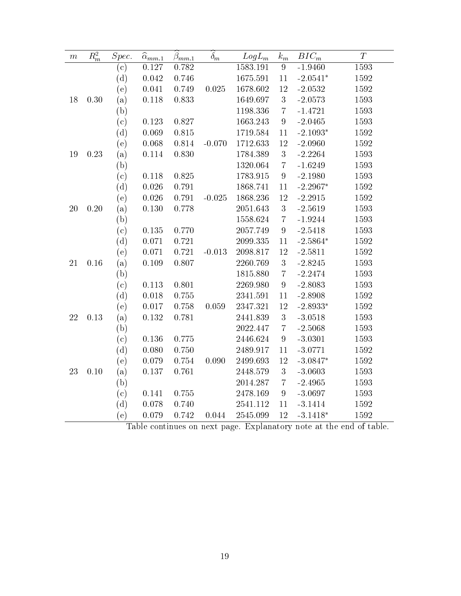| $\,m$  | $\mathbb{R}^2_m$ | $Spec.$ | $\overline{\hat{\alpha}}_{mm.1}$ | $\widehat{\beta}_{mm.1}$ | $\overline{\delta_m}$ | $LogL_m$ | $\boldsymbol{k}_{m}$ | $BIC_m$              | T                   |
|--------|------------------|---------|----------------------------------|--------------------------|-----------------------|----------|----------------------|----------------------|---------------------|
|        |                  | (c)     | 0.127                            | $0.782\,$                |                       | 1583.191 | 9                    | $-1.9460$            | 1593                |
|        |                  | (d)     | $\,0.042\,$                      | 0.746                    |                       | 1675.591 | $11\,$               | $-2.0541*$           | 1592                |
|        |                  | (e)     | $\,0.041\,$                      | 0.749                    | 0.025                 | 1678.602 | 12                   | $-2.0532$            | 1592                |
| 18     | 0.30             | (a)     | 0.118                            | 0.833                    |                       | 1649.697 | $\mathbf{3}$         | $-2.0573$            | 1593                |
|        |                  | (b)     |                                  |                          |                       | 1198.336 | $\overline{7}$       | $-1.4721$            | 1593                |
|        |                  | (c)     | 0.123                            | $0.827\,$                |                       | 1663.243 | $\boldsymbol{9}$     | $-2.0465$            | 1593                |
|        |                  | (d)     | 0.069                            | $0.815\,$                |                       | 1719.584 | 11                   | $-2.1093*$           | 1592                |
|        |                  | (e)     | $0.068\,$                        | 0.814                    | $-0.070$              | 1712.633 | 12                   | $-2.0960$            | 1592                |
| 19     | 0.23             | (a)     | $0.114\,$                        | 0.830                    |                       | 1784.389 | $\sqrt{3}$           | $-2.2264$            | 1593                |
|        |                  | (b)     |                                  |                          |                       | 1320.064 | $\bf 7$              | $-1.6249$            | 1593                |
|        |                  | (c)     | 0.118                            | 0.825                    |                       | 1783.915 | $9\phantom{.0}$      | $-2.1980$            | 1593                |
|        |                  | (d)     | $0.026\,$                        | 0.791                    |                       | 1868.741 | 11                   | $-2.2967*$           | 1592                |
|        |                  | (e)     | $0.026\,$                        | 0.791                    | $-0.025$              | 1868.236 | $12\,$               | $-2.2915$            | 1592                |
| $20\,$ | 0.20             | (a)     | 0.130                            | 0.778                    |                       | 2051.643 | $\overline{3}$       | $-2.5619$            | 1593                |
|        |                  | (b)     |                                  |                          |                       | 1558.624 | $\bf 7$              | $-1.9244$            | 1593                |
|        |                  | (c)     | $0.135\,$                        | 0.770                    |                       | 2057.749 | $\boldsymbol{9}$     | $-2.5418$            | 1593                |
|        |                  | (d)     | 0.071                            | 0.721                    |                       | 2099.335 | 11                   | $\textbf{-2.5864}^*$ | 1592                |
|        |                  | (e)     | 0.071                            | 0.721                    | $-0.013$              | 2098.817 | $12\,$               | $-2.5811$            | 1592                |
| 21     | 0.16             | (a)     | 0.109                            | 0.807                    |                       | 2260.769 | $\sqrt{3}$           | $-2.8245$            | 1593                |
|        |                  | (b)     |                                  |                          |                       | 1815.880 | $\overline{7}$       | $-2.2474$            | 1593                |
|        |                  | (c)     | 0.113                            | 0.801                    |                       | 2269.980 | $\boldsymbol{9}$     | $-2.8083$            | 1593                |
|        |                  | (d)     | $0.018\,$                        | 0.755                    |                       | 2341.591 | 11                   | $-2.8908$            | 1592                |
|        |                  | (e)     | $0.017\,$                        | 0.758                    | 0.059                 | 2347.321 | $12\,$               | $\textbf{-2.8933}^*$ | 1592                |
| 22     | 0.13             | (a)     | $0.132\,$                        | 0.781                    |                       | 2441.839 | $\boldsymbol{3}$     | $-3.0518$            | 1593                |
|        |                  | (b)     |                                  |                          |                       | 2022.447 | $\overline{7}$       | $-2.5068$            | 1593                |
|        |                  | (c)     | $0.136\,$                        | 0.775                    |                       | 2446.624 | $\boldsymbol{9}$     | $-3.0301$            | 1593                |
|        |                  | (d)     | 0.080                            | 0.750                    |                       | 2489.917 | 11                   | $-3.0771$            | 1592                |
|        |                  | (e)     | $0.079\,$                        | 0.754                    | 0.090                 | 2499.693 | 12                   | $-3.0847*$           | 1592                |
| 23     | 0.10             | (a)     | 0.137                            | 0.761                    |                       | 2448.579 | $\sqrt{3}$           | $-3.0603$            | 1593                |
|        |                  | (b)     |                                  |                          |                       | 2014.287 | $\bf 7$              | $-2.4965$            | 1593                |
|        |                  | (c)     | 0.141                            | 0.755                    |                       | 2478.169 | $\boldsymbol{9}$     | $-3.0697$            | 1593                |
|        |                  | (d)     | 0.078                            | 0.740                    |                       | 2541.112 | 11                   | $-3.1414$            | 1592                |
|        |                  | (e)     | 0.079                            | 0.742                    | 0.044                 | 2545.099 | 12                   | $-3.1418*$           | 1592<br>$J = f + L$ |

Table continues on next page. Explanatory note at the end of table.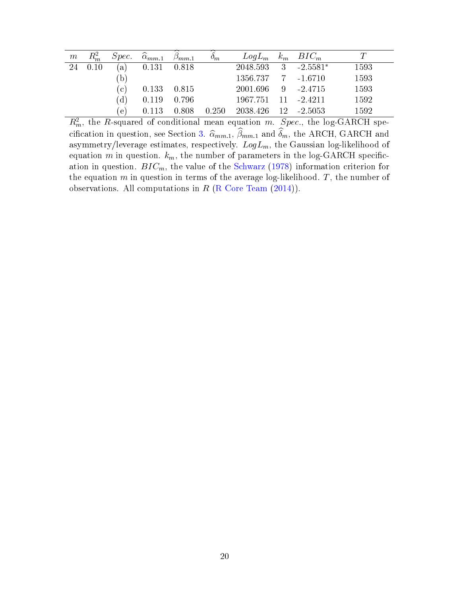| $\,m$ | $R_m^2$ |               | $Spec. \quad \hat{\alpha}_{mm,1}$ | $\beta_{mm,1}$  | $\sigma_m$ | $LogL_m$ $k_m$ $BIC_m$ |                |      |
|-------|---------|---------------|-----------------------------------|-----------------|------------|------------------------|----------------|------|
|       | 24 0.10 | (a)           | $0.131$ $0.818$                   |                 |            | 2048.593               | $3 - 2.5581^*$ | 1593 |
|       |         | (b)           |                                   |                 |            | 1356.737 7 -1.6710     |                | 1593 |
|       |         | (c)           |                                   | $0.133$ $0.815$ |            | 2001.696 9 -2.4715     |                | 1593 |
|       |         | (d)           |                                   | $0.119$ 0.796   |            | 1967.751               | $11 - 2.4211$  | 1592 |
|       |         | $^{\circ}$ e) | 0.113                             | 0.808           | 0.250      | 2038.426               | $12 - 2.5053$  | 1592 |

 $R_m^2$ , the R-squared of conditional mean equation m. Spec., the log-GARCH spe-cification in question, see Section [3.](#page-11-0)  $\widehat{\alpha}_{mm.1}$ ,  $\widehat{\beta}_{mm.1}$  and  $\widehat{\delta}_m$ , the ARCH, GARCH and asymmetry/leverage estimates, respectively.  $LogL_m$ , the Gaussian log-likelihood of equation  $m$  in question.  $k_m$ , the number of parameters in the log-GARCH specification in question.  $BIC_m$ , the value of the [Schwarz](#page-17-10) [\(1978\)](#page-17-10) information criterion for the equation  $m$  in question in terms of the average log-likelihood.  $T$ , the number of observations. All computations in  $R$  [\(R Core Team](#page-17-11) [\(2014\)](#page-17-11)).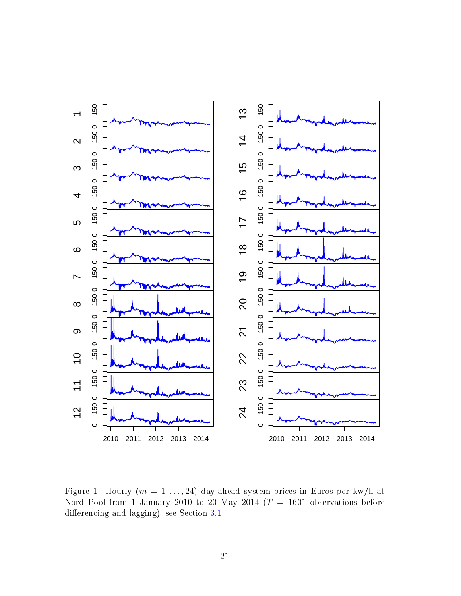

<span id="page-22-0"></span>Figure 1: Hourly  $(m = 1, \ldots, 24)$  day-ahead system prices in Euros per kw/h at Nord Pool from 1 January 2010 to 20 May 2014 ( $T = 1601$  observations before differencing and lagging), see Section  $3.1$ .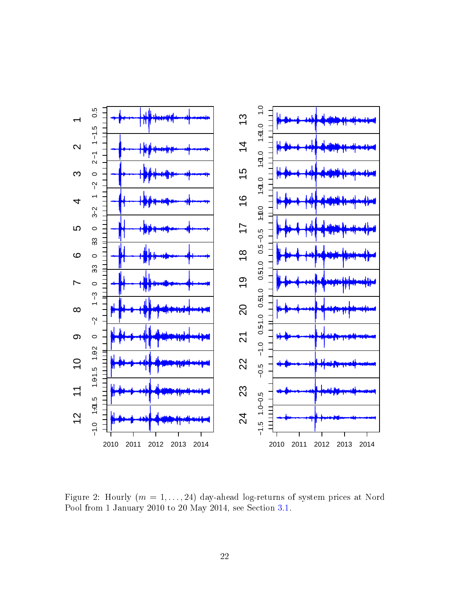

<span id="page-23-0"></span>Figure 2: Hourly  $(m = 1, \ldots, 24)$  day-ahead log-returns of system prices at Nord Pool from 1 January 2010 to 20 May 2014, see Section [3.1.](#page-11-1)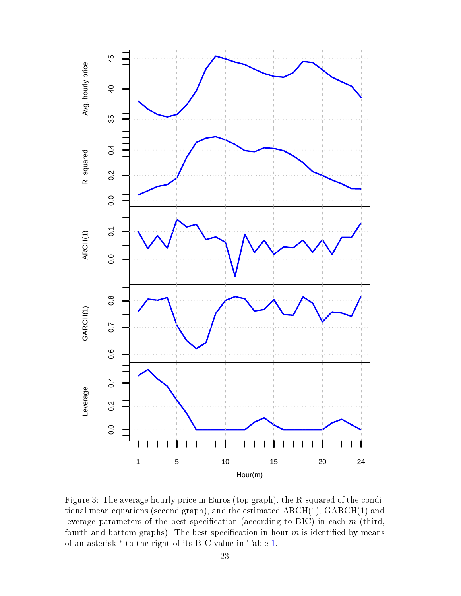

<span id="page-24-0"></span>Figure 3: The average hourly price in Euros (top graph), the R-squared of the conditional mean equations (second graph), and the estimated ARCH(1), GARCH(1) and leverage parameters of the best specification (according to BIC) in each  $m$  (third, fourth and bottom graphs). The best specification in hour  $m$  is identified by means of an asterisk<sup>\*</sup> to the right of its BIC value in Table [1.](#page-18-0)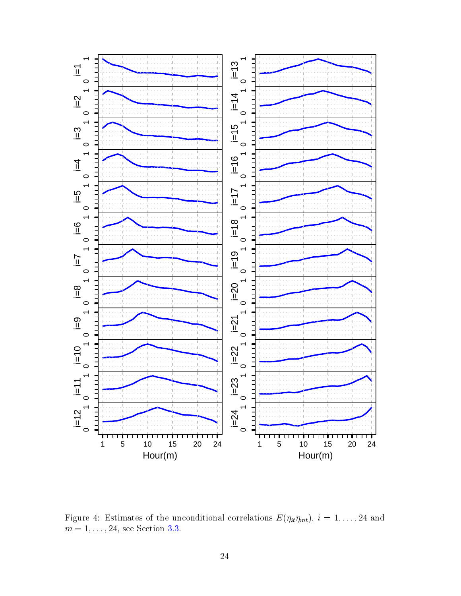

<span id="page-25-0"></span>Figure 4: Estimates of the unconditional correlations  $E(\eta_{it}\eta_{mt}), i = 1, \ldots, 24$  and  $m = 1, \ldots, 24$ , see Section [3.3.](#page-13-0)